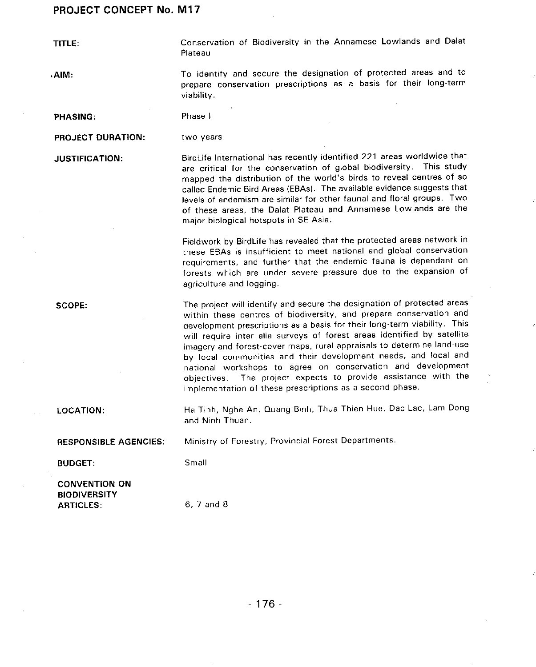TITLE: Conservation of Biodiversity in the Annamese Lowlands and Dalat Plateau

,AIM: To identify and secure the designation of protected areas and to prepare conservation prescriptions as a basis for their long**-**term viability.

PHASING: Phase I

PROJECT DURATION: two years

JUSTIFICATION: BirdLife International has recently identified 221 areas worldwide that are critical for the conservation of global biodiversity. This study mapped the distribution of the world's birds to reveal centres of so called Endemic Bird Areas (EBAs). The available evidence suggests that levels of endemism are similar for other faunal and floral groups. Two of these areas, the Dalat Plateau and Annamese Lowlands are the major biological hotspots in SE Asia.

> Fieldwork by BirdLife has revealed that the protected areas network in these EBAs is insufficient to meet national and global conservation requirements, and further that the endemic fauna is dependant on forests which are under severe pressure due to the expansion of agriculture and logging.

SCOPE: The project will identify and secure the designation of protected areas within these centres of biodiversity**,** and prepare conservation and development prescriptions as a basis for their long-term viability. This will require inter alia surveys of forest areas identified by satellite imagery and forest-cover maps**,** rural appraisals to determine land-use by local communities and their development needs, and local and national workshops to agree on conservation and development objectives. The project expects to provide assistance with the implementation of these prescriptions as a second phase.

LOCATION: Ha Tinh**,** Nghe An, Quang Binh, Thua Thien Hue, Dac Lac**,** Lam Dong and Ninh Thuan.

RESPONSIBL**E** AGENCIES: Ministry of Forestry**,** Provincial Forest Departments.

BUDGET: Small

CONVENTION ON

**BIODIVERSITY** ARTICLES: 6**,** 7 and 8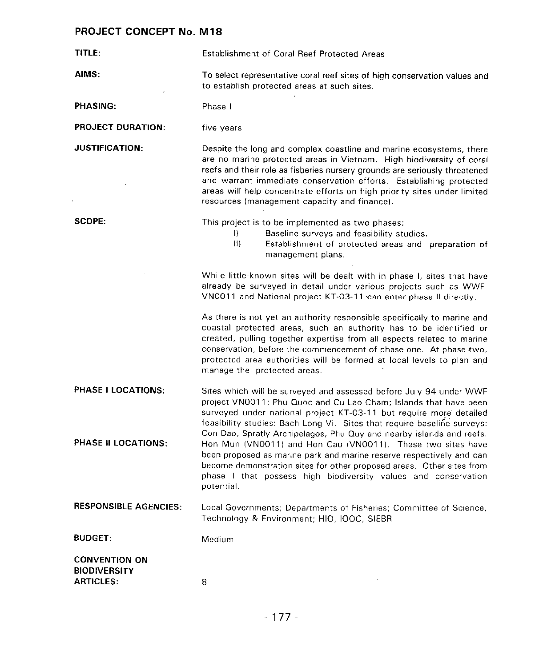| TITLE:                                                          | <b>Establishment of Coral Reef Protected Areas</b>                                                                                                                                                                                                                                                                                                                                                                          |
|-----------------------------------------------------------------|-----------------------------------------------------------------------------------------------------------------------------------------------------------------------------------------------------------------------------------------------------------------------------------------------------------------------------------------------------------------------------------------------------------------------------|
| AIMS:                                                           | To select representative coral reef sites of high conservation values and<br>to establish protected areas at such sites.                                                                                                                                                                                                                                                                                                    |
| <b>PHASING:</b>                                                 | Phase I                                                                                                                                                                                                                                                                                                                                                                                                                     |
| <b>PROJECT DURATION:</b>                                        | five years                                                                                                                                                                                                                                                                                                                                                                                                                  |
| <b>JUSTIFICATION:</b>                                           | Despite the long and complex coastline and marine ecosystems, there<br>are no marine protected areas in Vietnam. High biodiversity of coral<br>reefs and their role as fisheries nursery grounds are seriously threatened<br>and warrant immediate conservation efforts. Establishing protected<br>areas will help concentrate efforts on high priority sites under limited<br>resources (management capacity and finance). |
| SCOPE:                                                          | This project is to be implemented as two phases:<br>Baseline surveys and feasibility studies.<br>D.<br>$ 1\rangle$<br>Establishment of protected areas and preparation of<br>management plans.                                                                                                                                                                                                                              |
|                                                                 | While little-known sites will be dealt with in phase I, sites that have<br>already be surveyed in detail under various projects such as WWF-<br>VN0011 and National project KT-03-11 can enter phase II directly.                                                                                                                                                                                                           |
|                                                                 | As there is not yet an authority responsible specifically to marine and<br>coastal protected areas, such an authority has to be identified or<br>created, pulling together expertise from all aspects related to marine<br>conservation, before the commencement of phase one. At phase two,<br>protected area authorities will be formed at local levels to plan and<br>manage the protected areas.                        |
| PHASE I LOCATIONS:                                              | Sites which will be surveyed and assessed before July 94 under WWF<br>project VN0011: Phu Quoc and Cu Lao Cham; Islands that have been<br>surveyed under national project KT-03-11 but require more detailed<br>feasibility studies: Bach Long Vi. Sites that require baseline surveys:<br>Con Dao, Spratly Archipelagos, Phu Quy and nearby islands and reefs.                                                             |
| PHASE II LOCATIONS:                                             | Hon Mun (VN0011) and Hon Cau (VN0011). These two sites have<br>been proposed as marine park and marine reserve respectively and can<br>become demonstration sites for other proposed areas. Other sites from<br>phase I that possess high biodiversity values and conservation<br>potential.                                                                                                                                |
| <b>RESPONSIBLE AGENCIES:</b>                                    | Local Governments; Departments of Fisheries; Committee of Science,<br>Technology & Environment; HIO, IOOC, SIEBR                                                                                                                                                                                                                                                                                                            |
| <b>BUDGET:</b>                                                  | Medium                                                                                                                                                                                                                                                                                                                                                                                                                      |
| <b>CONVENTION ON</b><br><b>BIODIVERSITY</b><br><b>ARTICLES:</b> | 8                                                                                                                                                                                                                                                                                                                                                                                                                           |

 $\sim 10^{-11}$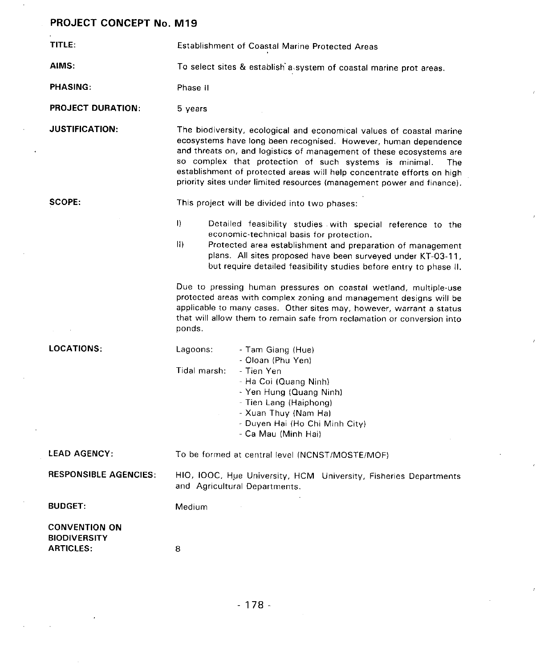TITLE: Establishment of Coastal Marine Protected Areas AIMS: To select sites & establish a system of coastal marine prot areas. PHASING: Phase II PROJECT DURATION: 5 years JUSTIFICATION: The biodiversity**,** ecological and economical values of coastal marine ecosystems have long been recognised. However**,** human dependence and threats on, and logistics of management of these ecosystems are so complex that protection of such systems is minimal. The establishment of protected areas will help concentrate efforts on high priority sites under limited resources (management power and finance). SCOPE: This project will be divided into two phases: I) Detailed feasibility studies with special reference to the economic-technical basis for protection. II) Protected area establishment and preparation of management plans. All sites proposed have been surveyed under KT-03-11**,** but require detailed feasibility studies before entry to phase II. Due to pressing human pressures on coastal wetland**,** multiple-use protected areas with complex zoning and management designs will be applicable to many cases, Other sites may**,** however, warrant a status that will allow them to remain safe from reclamation or conversion into ponds. LOCATIONS: Lagoons: - Tam Giang (Hue) - Oloan (Phu Yen) Tidal marsh: - Tien Yen - Ha Coi (Quang Ninh) - Yen Hung (Quang Ninh) - Tien Lang (Haiphong) - Xuan Thuy {Nam Ha) - Duyen Hal (Ho Chi Minh City) Ca Mau (Minh Hal) LEAD AGENCY: To be formed at central level (NCNST**/**MOSTE**/**MOF) RESPONSIBLE AGENCIES: HIO**,** IOOC, Hue University**,** HCM University**,** Fisheries Departments and Agricultural Departments. BUDGET: Medium CONVENTION ON **BIODIVERSITY** ARTICLES: 8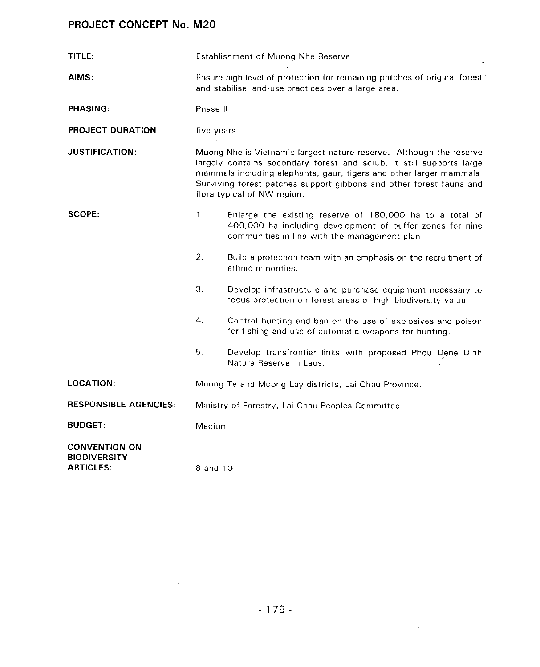| TITLE:                                                          | Establishment of Muong Nhe Reserve                                                                                               |                                                                                                                                                                                                                                                                                                                          |
|-----------------------------------------------------------------|----------------------------------------------------------------------------------------------------------------------------------|--------------------------------------------------------------------------------------------------------------------------------------------------------------------------------------------------------------------------------------------------------------------------------------------------------------------------|
| AIMS:                                                           | Ensure high level of protection for remaining patches of original forest?<br>and stabilise land-use practices over a large area. |                                                                                                                                                                                                                                                                                                                          |
| <b>PHASING:</b>                                                 | Phase III                                                                                                                        |                                                                                                                                                                                                                                                                                                                          |
| <b>PROJECT DURATION:</b>                                        | five years                                                                                                                       |                                                                                                                                                                                                                                                                                                                          |
| <b>JUSTIFICATION:</b>                                           |                                                                                                                                  | Muong Nhe is Vietnam's largest nature reserve. Although the reserve<br>largely contains secondary forest and scrub, it still supports large<br>mammals including elephants, gaur, tigers and other larger mammals.<br>Surviving forest patches support gibbons and other forest fauna and<br>flora typical of NW region. |
| <b>SCOPE:</b>                                                   | 1.                                                                                                                               | Enlarge the existing reserve of 180,000 ha to a total of<br>400,000 ha including development of buffer zones for nine<br>communities in line with the management plan.                                                                                                                                                   |
|                                                                 | 2.                                                                                                                               | Build a protection team with an emphasis on the recruitment of<br>ethnic minorities.                                                                                                                                                                                                                                     |
|                                                                 | 3.                                                                                                                               | Develop infrastructure and purchase equipment necessary to<br>focus protection on forest areas of high biodiversity value.                                                                                                                                                                                               |
|                                                                 | 4.                                                                                                                               | Control hunting and ban on the use of explosives and poison<br>for fishing and use of automatic weapons for hunting.                                                                                                                                                                                                     |
|                                                                 | 5.                                                                                                                               | Develop transfrontier links with proposed Phou Dene Dinh<br>Nature Reserve in Laos.                                                                                                                                                                                                                                      |
| LOCATION:                                                       | Muong Te and Muong Lay districts, Lai Chau Province.                                                                             |                                                                                                                                                                                                                                                                                                                          |
| <b>RESPONSIBLE AGENCIES:</b>                                    | Ministry of Forestry, Lai Chau Peoples Committee                                                                                 |                                                                                                                                                                                                                                                                                                                          |
| <b>BUDGET:</b>                                                  | Medium                                                                                                                           |                                                                                                                                                                                                                                                                                                                          |
| <b>CONVENTION ON</b><br><b>BIODIVERSITY</b><br><b>ARTICLES:</b> | 8 and 10                                                                                                                         |                                                                                                                                                                                                                                                                                                                          |

 $\mathcal{L}(\mathcal{L}^{\mathcal{L}})$  and  $\mathcal{L}(\mathcal{L}^{\mathcal{L}})$  and  $\mathcal{L}(\mathcal{L}^{\mathcal{L}})$ 

 $\sim 10^7$ 

 $\mathcal{L}(\mathcal{L}^{\mathcal{L}})$  and  $\mathcal{L}^{\mathcal{L}}$  and  $\mathcal{L}^{\mathcal{L}}$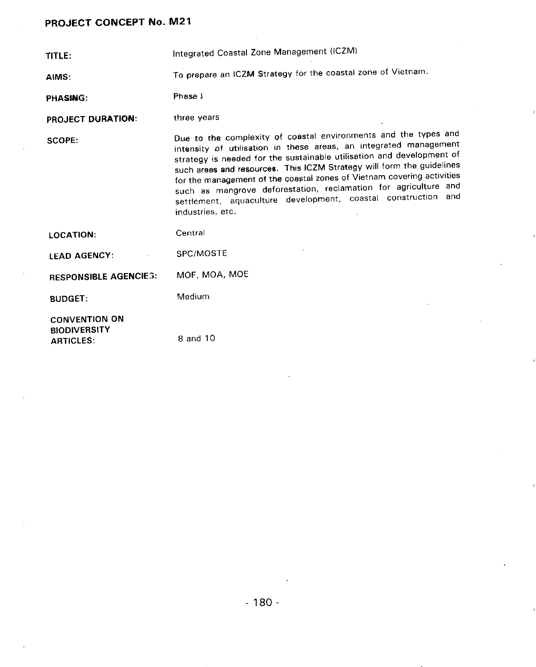TITLE: Integrated Coastal Zone Management (ICZM)

AIMS: To pr**epa**r**e an** ICZM Str**a**t**e**gy for the c**o**ast**a**l **z**one **o**f Vi**et**na**m**.

PHASING: Phase 1

PROJECT DURATION: three years

SCOPE: Due to the complexity of c**o**astal environments and the types and intensi**t**y of utilisation in these areas**,** an integrated management strategy is needed for the sustainable utilisation and development of such areas and resources. This ICZM Strategy will form the guidelines for the management of the coastal zones of Vietnam covering activities such as mangrove deforestation, reclamation for agriculture and settlement**,** aqu**ac**ulture de**v**el**o**pment**, c**oast**a**l **c**on**s**t**r**u**c**tio**n** and industries**,** etc.

LOCATION: Central LEAD AGENCY: SPC**/**MOSTE R**E**SPO**N**SIBLE A**G**ENCIES: M**O**F, MOA**,** M**O**E BUDGET: Medium CONVENTION ON BIODIVERSI**T**Y ARTICLES: 8 and 10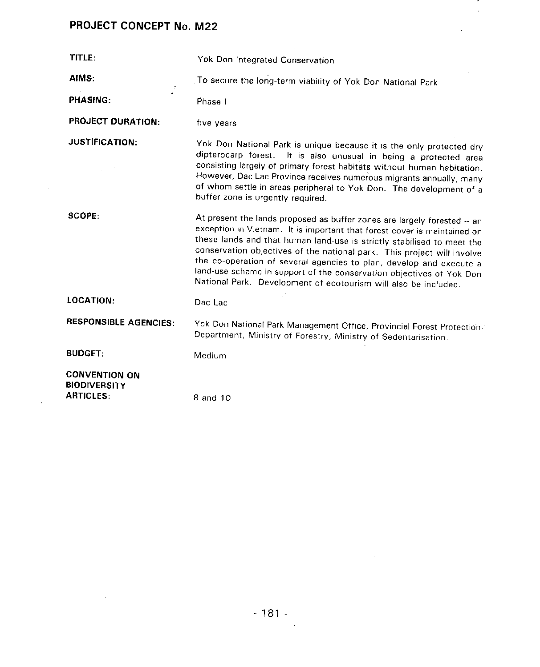$\sim 10^{-10}$ 

 $\mathcal{A}^{\mathcal{A}}$ 

 $\mathcal{L}^{\text{max}}_{\text{max}}$ 

| TITLE:                                                          | Yok Don Integrated Conservation                                                                                                                                                                                                                                                                                                                                                                                                                                                                                             |
|-----------------------------------------------------------------|-----------------------------------------------------------------------------------------------------------------------------------------------------------------------------------------------------------------------------------------------------------------------------------------------------------------------------------------------------------------------------------------------------------------------------------------------------------------------------------------------------------------------------|
| AIMS:                                                           | To secure the long-term viability of Yok Don National Park                                                                                                                                                                                                                                                                                                                                                                                                                                                                  |
| PHASING:                                                        | Phase I                                                                                                                                                                                                                                                                                                                                                                                                                                                                                                                     |
| <b>PROJECT DURATION:</b>                                        | five years                                                                                                                                                                                                                                                                                                                                                                                                                                                                                                                  |
| <b>JUSTIFICATION:</b>                                           | Yok Don National Park is unique because it is the only protected dry<br>dipterocarp forest. It is also unusual in being a protected area<br>consisting largely of primary forest habitats without human habitation.<br>However, Dac Lac Province receives numerous migrants annually, many<br>of whom settle in areas peripheral to Yok Don. The development of a<br>buffer zone is urgently required.                                                                                                                      |
| SCOPE.                                                          | At present the lands proposed as buffer zones are largely forested -- an<br>exception in Vietnam. It is important that forest cover is maintained on<br>these lands and that human land-use is strictly stabilised to meet the<br>conservation objectives of the national park. This project will involve<br>the co-operation of several agencies to plan, develop and execute a<br>land-use scheme in support of the conservation objectives of Yok Don<br>National Park. Development of ecotourism will also be included. |
| <b>LOCATION:</b>                                                | Dac Lac                                                                                                                                                                                                                                                                                                                                                                                                                                                                                                                     |
| <b>RESPONSIBLE AGENCIES:</b>                                    | Yok Don National Park Management Office, Provincial Forest Protection-1<br>Department, Ministry of Forestry, Ministry of Sedentarisation.                                                                                                                                                                                                                                                                                                                                                                                   |
| <b>BUDGET:</b>                                                  | Medium                                                                                                                                                                                                                                                                                                                                                                                                                                                                                                                      |
| <b>CONVENTION ON</b><br><b>BIODIVERSITY</b><br><b>ARTICLES:</b> | 8 and 10                                                                                                                                                                                                                                                                                                                                                                                                                                                                                                                    |

 $\overline{\phantom{a}}$  $\sim$ 

 $\mathcal{A}$ 

 $\mathcal{L}^{\text{max}}_{\text{max}}$  and  $\mathcal{L}^{\text{max}}_{\text{max}}$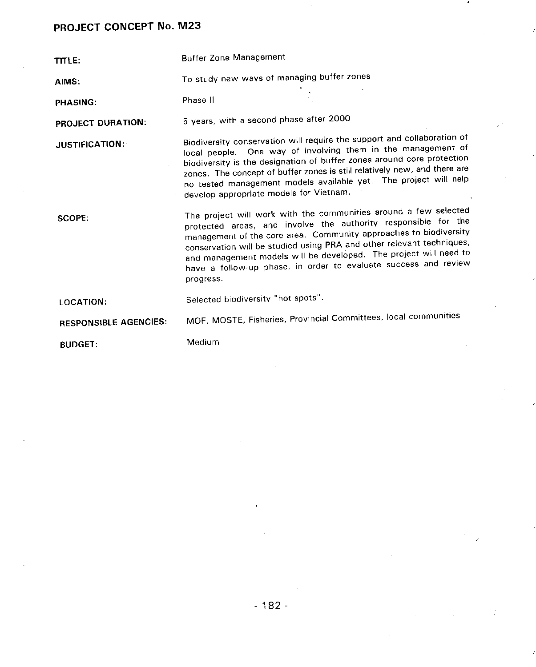TITLE: Buffer Zone Management

AIMS: To study new ways of managing buffer zones

PHASING: Phase II

PRO**J**ECT DURATIO**N**: 5 y**ea**rs, with a second phase after 2000

JUSTIFICATION: Biodiversity conservation will require the support and collaboration of<br>local people. One way of involving them in the management of biodiversity is the designation of buffer zones around core protection zones. The concept of buffer zones is still relatively new, and there are zones. The concept of buffer zones is still *free project* will be no tested management models available yet. The project will have a project will have a project will have a pro develop appropriate models for Vietnam.

SCOPE: The project will work with the communities around a few selected<br>protected areas, and involve the authority responsible for the management of the core area. Community approaches to biodiversity conservation will be studied using PRA and other relevant techniques, and management models will be developed. The project will need to and management models will be developed. The project will need to provide a success and review have a follow-up phase, in order to  $\epsilon$ progress.

LOCA**T**ION: Selected biodiversity "hot spots".

RESPO**N**SIBLE AGE**N**CIES: MOF**,** MOSTE, Fisheries**,** Provincial Committees, local communities

BUDGET: Medium

- 182-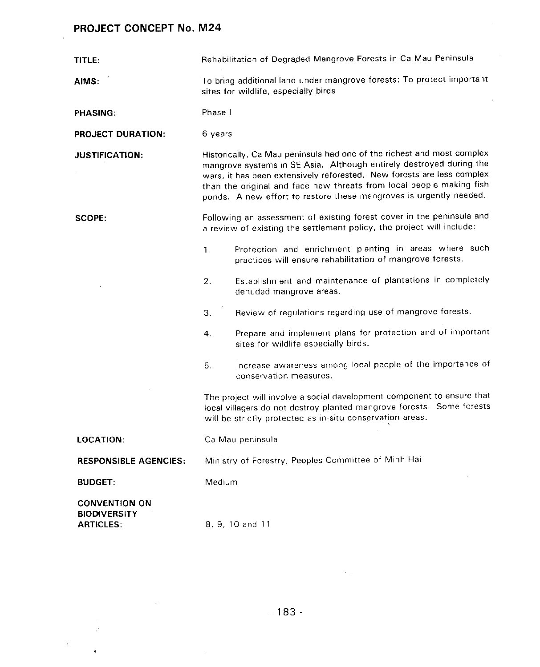$\mathcal{L}_\mathrm{c}$ 

 $\mathcal{A}^{\mathcal{B}}$ 

 $\ddot{\phantom{a}}$ 

 $\ddot{\phantom{a}}$ 

| TITLE:                                                          |         | Rehabilitation of Degraded Mangrove Forests in Ca Mau Peninsula                                                                                                                                                                                                                                                                                                       |
|-----------------------------------------------------------------|---------|-----------------------------------------------------------------------------------------------------------------------------------------------------------------------------------------------------------------------------------------------------------------------------------------------------------------------------------------------------------------------|
| AIMS:                                                           |         | To bring additional land under mangrove forests; To protect important<br>sites for wildlife, especially birds                                                                                                                                                                                                                                                         |
| PHASING:                                                        | Phase I |                                                                                                                                                                                                                                                                                                                                                                       |
| <b>PROJECT DURATION:</b>                                        | 6 years |                                                                                                                                                                                                                                                                                                                                                                       |
| <b>JUSTIFICATION:</b>                                           |         | Historically, Ca Mau peninsula had one of the richest and most complex<br>mangrove systems in SE Asia. Although entirely destroyed during the<br>wars, it has been extensively reforested. New forests are less complex<br>than the original and face new threats from local people making fish<br>ponds. A new effort to restore these mangroves is urgently needed. |
| <b>SCOPE:</b>                                                   |         | Following an assessment of existing forest cover in the peninsula and<br>a review of existing the settlement policy, the project will include:                                                                                                                                                                                                                        |
|                                                                 | 1.      | Protection and enrichment planting in areas where such<br>practices will ensure rehabilitation of mangrove forests.                                                                                                                                                                                                                                                   |
|                                                                 | 2.      | Establishment and maintenance of plantations in completely<br>denuded mangrove areas.                                                                                                                                                                                                                                                                                 |
|                                                                 | 3.      | Review of regulations regarding use of mangrove forests.                                                                                                                                                                                                                                                                                                              |
|                                                                 | 4.      | Prepare and implement plans for protection and of important<br>sites for wildlife especially birds.                                                                                                                                                                                                                                                                   |
|                                                                 | 5.      | Increase awareness among local people of the importance of<br>conservation measures.                                                                                                                                                                                                                                                                                  |
|                                                                 |         | The project will involve a social development component to ensure that<br>local villagers do not destroy planted mangrove forests. Some forests<br>will be strictly protected as in-situ conservation areas.                                                                                                                                                          |
| LOCATION:                                                       |         | Ca Mau peninsula                                                                                                                                                                                                                                                                                                                                                      |
| <b>RESPONSIBLE AGENCIES:</b>                                    |         | Ministry of Forestry, Peoples Committee of Minh Hai                                                                                                                                                                                                                                                                                                                   |
| <b>BUDGET:</b>                                                  | Medium  |                                                                                                                                                                                                                                                                                                                                                                       |
| <b>CONVENTION ON</b><br><b>BIODIVERSITY</b><br><b>ARTICLES:</b> |         | 8, 9, 10 and 11                                                                                                                                                                                                                                                                                                                                                       |

 $\mathcal{L}_{\mathrm{in}}$ 

 $\sim$ 

 $\frac{1}{2} \frac{1}{2} \frac{1}{2} \frac{1}{2} \frac{1}{2}$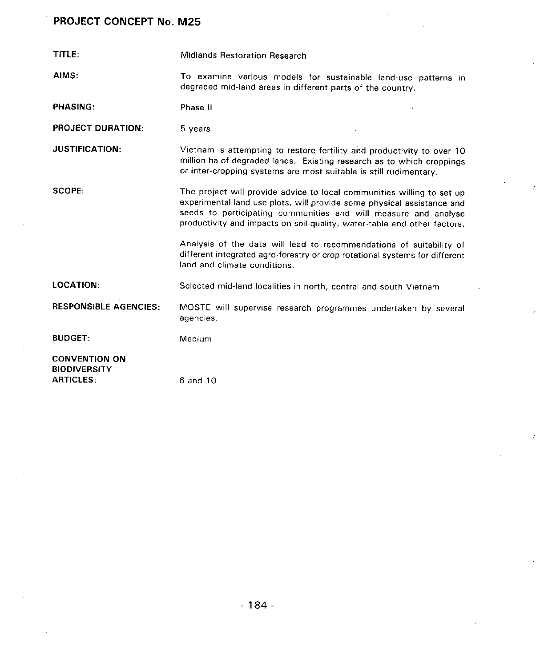| <b>TITLE:</b>                                                   | Midlands Restoration Research                                                                                                                                                                                                                                                                                                                                          |
|-----------------------------------------------------------------|------------------------------------------------------------------------------------------------------------------------------------------------------------------------------------------------------------------------------------------------------------------------------------------------------------------------------------------------------------------------|
| AIMS:                                                           | To examine various models for sustainable land-use patterns in<br>degraded mid-land areas in different parts of the country.                                                                                                                                                                                                                                           |
| <b>PHASING:</b>                                                 | Phase II                                                                                                                                                                                                                                                                                                                                                               |
| <b>PROJECT DURATION:</b>                                        | 5 years                                                                                                                                                                                                                                                                                                                                                                |
| <b>JUSTIFICATION:</b>                                           | Vietnam is attempting to restore fertility and productivity to over 10<br>million ha of degraded lands. Existing research as to which croppings<br>or inter-cropping systems are most suitable is still rudimentary.                                                                                                                                                   |
| SCOPE:                                                          | The project will provide advice to local communities willing to set up<br>experimental land use plots, will provide some physical assistance and<br>seeds to participating communities and will measure and analyse<br>productivity and impacts on soil quality, water-table and other factors.<br>Analysis of the data will lead to recommendations of suitability of |
|                                                                 | different integrated agro-forestry or crop rotational systems for different<br>land and climate conditions.                                                                                                                                                                                                                                                            |
| <b>LOCATION:</b>                                                | Selected mid-land localities in north, central and south Vietnam                                                                                                                                                                                                                                                                                                       |
| <b>RESPONSIBLE AGENCIES:</b>                                    | MOSTE will supervise research programmes undertaken by several<br>agencies.                                                                                                                                                                                                                                                                                            |
| <b>BUDGET:</b>                                                  | Medium                                                                                                                                                                                                                                                                                                                                                                 |
| <b>CONVENTION ON</b><br><b>BIODIVERSITY</b><br><b>ARTICLES:</b> | 6 and 10                                                                                                                                                                                                                                                                                                                                                               |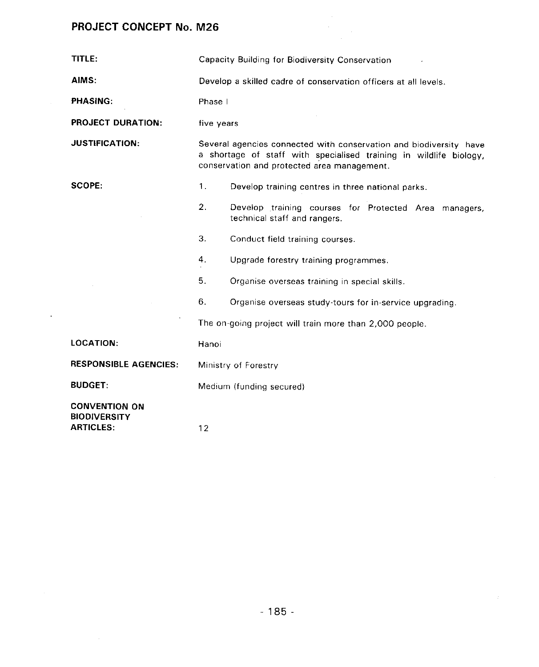$\sim$ 

 $\mathcal{L}$ 

 $\sim$ 

| TITLE:                                                          |            | Capacity Building for Biodiversity Conservation                                                                                                                                         |
|-----------------------------------------------------------------|------------|-----------------------------------------------------------------------------------------------------------------------------------------------------------------------------------------|
| AIMS:                                                           |            | Develop a skilled cadre of conservation officers at all levels.                                                                                                                         |
| PHASING:                                                        | Phase I    |                                                                                                                                                                                         |
| <b>PROJECT DURATION:</b>                                        | five years |                                                                                                                                                                                         |
| <b>JUSTIFICATION:</b>                                           |            | Several agencies connected with conservation and biodiversity have<br>a shortage of staff with specialised training in wildlife biology,<br>conservation and protected area management. |
| <b>SCOPE:</b>                                                   | 1.         | Develop training centres in three national parks.                                                                                                                                       |
|                                                                 | 2.         | Develop training courses for Protected Area managers,<br>technical staff and rangers.                                                                                                   |
|                                                                 | 3.         | Conduct field training courses.                                                                                                                                                         |
|                                                                 | 4.         | Upgrade forestry training programmes.                                                                                                                                                   |
|                                                                 | 5.         | Organise overseas training in special skills.                                                                                                                                           |
|                                                                 | 6.         | Organise overseas study-tours for in-service upgrading.                                                                                                                                 |
|                                                                 |            | The on-going project will train more than 2,000 people.                                                                                                                                 |
| <b>LOCATION:</b>                                                | Hanoi      |                                                                                                                                                                                         |
| <b>RESPONSIBLE AGENCIES:</b>                                    |            | Ministry of Forestry                                                                                                                                                                    |
| <b>BUDGET:</b>                                                  |            | Medium (funding secured)                                                                                                                                                                |
| <b>CONVENTION ON</b><br><b>BIODIVERSITY</b><br><b>ARTICLES:</b> | 12         |                                                                                                                                                                                         |

 $\overline{\phantom{a}}$ 

 $\sim 10$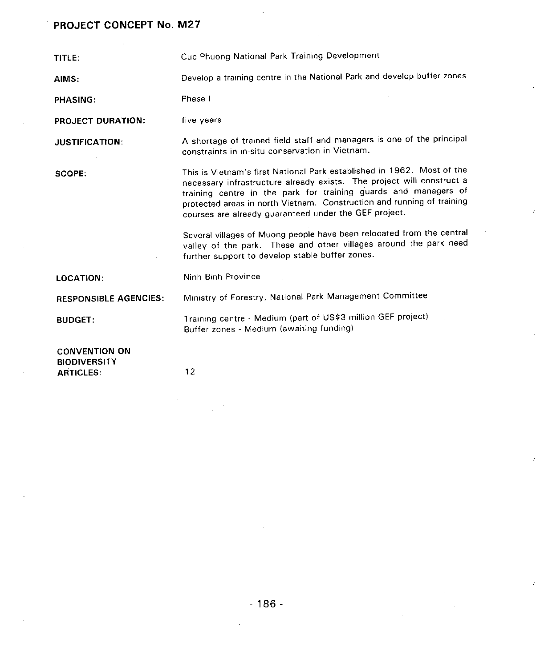| TITLE:                                                          | Cuc Phuong National Park Training Development                                                                                                                                                                                                                                                                                                                                                                                                                                                                                                          |
|-----------------------------------------------------------------|--------------------------------------------------------------------------------------------------------------------------------------------------------------------------------------------------------------------------------------------------------------------------------------------------------------------------------------------------------------------------------------------------------------------------------------------------------------------------------------------------------------------------------------------------------|
| AIMS:                                                           | Develop a training centre in the National Park and develop buffer zones                                                                                                                                                                                                                                                                                                                                                                                                                                                                                |
| <b>PHASING:</b>                                                 | Phase I                                                                                                                                                                                                                                                                                                                                                                                                                                                                                                                                                |
| <b>PROJECT DURATION:</b>                                        | five years                                                                                                                                                                                                                                                                                                                                                                                                                                                                                                                                             |
| <b>JUSTIFICATION:</b>                                           | A shortage of trained field staff and managers is one of the principal<br>constraints in in-situ conservation in Vietnam.                                                                                                                                                                                                                                                                                                                                                                                                                              |
| SCOPE:                                                          | This is Vietnam's first National Park established in 1962. Most of the<br>necessary infrastructure already exists. The project will construct a<br>training centre in the park for training guards and managers of<br>protected areas in north Vietnam. Construction and running of training<br>courses are already guaranteed under the GEF project.<br>Several villages of Muong people have been relocated from the central<br>valley of the park. These and other villages around the park need<br>further support to develop stable buffer zones. |
| <b>LOCATION:</b>                                                | Ninh Binh Province                                                                                                                                                                                                                                                                                                                                                                                                                                                                                                                                     |
| <b>RESPONSIBLE AGENCIES:</b>                                    | Ministry of Forestry, National Park Management Committee                                                                                                                                                                                                                                                                                                                                                                                                                                                                                               |
| <b>BUDGET:</b>                                                  | Training centre - Medium (part of US\$3 million GEF project)<br>Buffer zones - Medium (awaiting funding)                                                                                                                                                                                                                                                                                                                                                                                                                                               |
| <b>CONVENTION ON</b><br><b>BIODIVERSITY</b><br><b>ARTICLES:</b> | 12                                                                                                                                                                                                                                                                                                                                                                                                                                                                                                                                                     |

 $\overline{1}$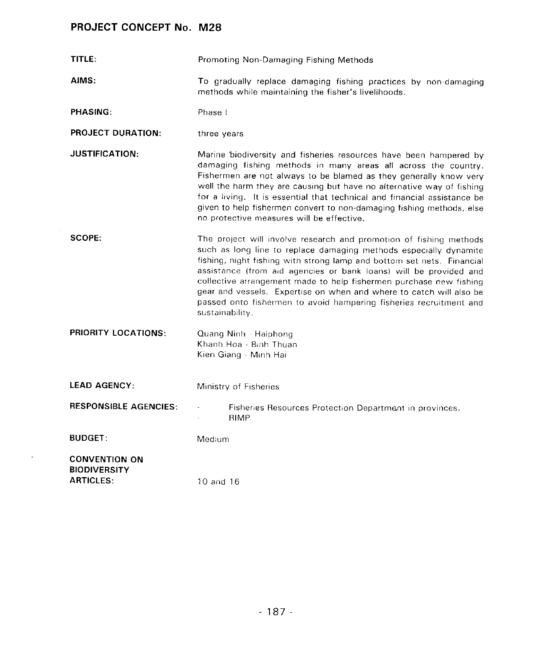$\Delta \sim 10^{11}$  m

| TITLE:                                                          | Promoting Non-Damaging Fishing Methods                                                                                                                                                                                                                                                                                                                                                                                                                                                                                       |
|-----------------------------------------------------------------|------------------------------------------------------------------------------------------------------------------------------------------------------------------------------------------------------------------------------------------------------------------------------------------------------------------------------------------------------------------------------------------------------------------------------------------------------------------------------------------------------------------------------|
| AIMS:                                                           | To gradually replace damaging fishing practices by non-damaging<br>methods while maintaining the fisher's livelihoods.                                                                                                                                                                                                                                                                                                                                                                                                       |
| <b>PHASING:</b>                                                 | Phase I                                                                                                                                                                                                                                                                                                                                                                                                                                                                                                                      |
| <b>PROJECT DURATION:</b>                                        | three years                                                                                                                                                                                                                                                                                                                                                                                                                                                                                                                  |
| <b>JUSTIFICATION:</b>                                           | Marine biodiversity and fisheries resources have been hampered by<br>damaging fishing methods in many areas all across the country.<br>Fishermen are not always to be blamed as they generally know very<br>well the harm they are causing but have no alternative way of fishing<br>for a living. It is essential that technical and financial assistance be<br>given to help fishermen convert to non-damaging fishing methods, else<br>no protective measures will be effective.                                          |
| <b>SCOPE:</b>                                                   | The project will involve research and promotion of fishing methods<br>such as long line to replace damaging methods especially dynamite<br>fishing, night fishing with strong lamp and bottom set nets. Financial<br>assistance (from aid agencies or bank loans) will be provided and<br>collective arrangement made to help fishermen purchase new fishing<br>gear and vessels. Expertise on when and where to catch will also be<br>passed onto fishermen to avoid hampering fisheries recruitment and<br>sustainability. |
| <b>PRIORITY LOCATIONS:</b>                                      | Quang Ninh Haiphong<br>Khanh Hoa - Binh Thuan<br>Kien Giang - Minh Hai                                                                                                                                                                                                                                                                                                                                                                                                                                                       |
| <b>LEAD AGENCY:</b>                                             | Ministry of Fisheries                                                                                                                                                                                                                                                                                                                                                                                                                                                                                                        |
| <b>RESPONSIBLE AGENCIES:</b>                                    | Fisheries Resources Protection Department in provinces.<br><b>RIMP</b>                                                                                                                                                                                                                                                                                                                                                                                                                                                       |
| <b>BUDGET:</b>                                                  | Medium                                                                                                                                                                                                                                                                                                                                                                                                                                                                                                                       |
| <b>CONVENTION ON</b><br><b>BIODIVERSITY</b><br><b>ARTICLES:</b> | 10 and 16                                                                                                                                                                                                                                                                                                                                                                                                                                                                                                                    |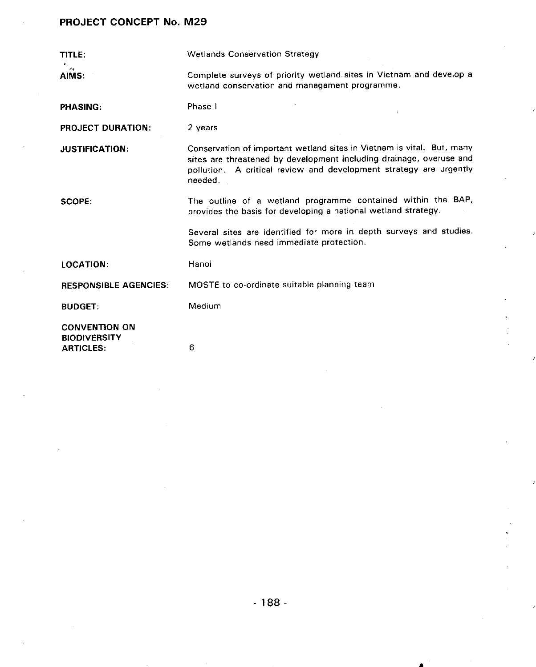| TITLE:                                                          | <b>Wetlands Conservation Strategy</b>                                                                                                                                                                                          |
|-----------------------------------------------------------------|--------------------------------------------------------------------------------------------------------------------------------------------------------------------------------------------------------------------------------|
| AIMS:                                                           | Complete surveys of priority wetland sites in Vietnam and develop a<br>wetland conservation and management programme.                                                                                                          |
| <b>PHASING:</b>                                                 | Phase I                                                                                                                                                                                                                        |
| <b>PROJECT DURATION:</b>                                        | 2 years                                                                                                                                                                                                                        |
| <b>JUSTIFICATION:</b>                                           | Conservation of important wetland sites in Vietnam is vital. But, many<br>sites are threatened by development including drainage, overuse and<br>pollution. A critical review and development strategy are urgently<br>needed. |
| SCOPE:                                                          | The outline of a wetland programme contained within the BAP,<br>provides the basis for developing a national wetland strategy.                                                                                                 |
|                                                                 | Several sites are identified for more in depth surveys and studies.<br>Some wetlands need immediate protection.                                                                                                                |
| <b>LOCATION:</b>                                                | Hanoi                                                                                                                                                                                                                          |
| <b>RESPONSIBLE AGENCIES:</b>                                    | MOSTE to co-ordinate suitable planning team                                                                                                                                                                                    |
| <b>BUDGET:</b>                                                  | Medium                                                                                                                                                                                                                         |
| <b>CONVENTION ON</b><br><b>BIODIVERSITY</b><br><b>ARTICLES:</b> | 6                                                                                                                                                                                                                              |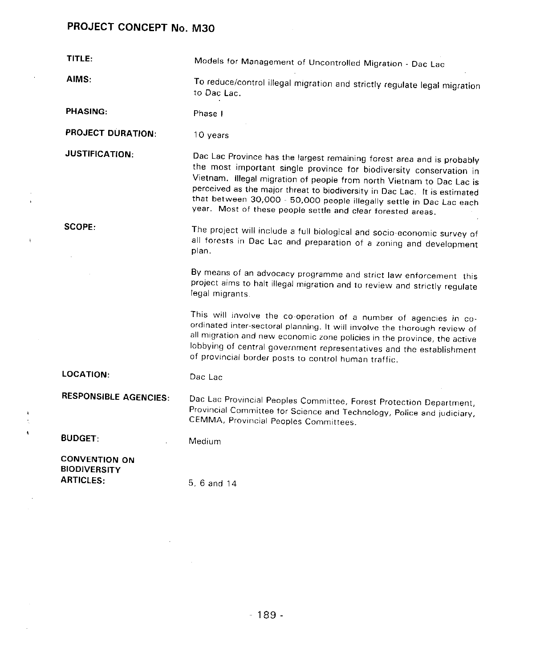$\ddot{\phantom{a}}$ 

 $\mathfrak{r}_-$ 

 $\frac{1}{2}$  $\ddot{\phantom{0}}$ 

 $\mathcal{L}^{\pm}$ 

| TITLE:                                                          | Models for Management of Uncontrolled Migration - Dac Lac                                                                                                                                                                                                                                                                                                                                                                                  |
|-----------------------------------------------------------------|--------------------------------------------------------------------------------------------------------------------------------------------------------------------------------------------------------------------------------------------------------------------------------------------------------------------------------------------------------------------------------------------------------------------------------------------|
| AIMS:                                                           | To reduce/control illegal migration and strictly regulate legal migration<br>to Dac Lac.                                                                                                                                                                                                                                                                                                                                                   |
| <b>PHASING:</b>                                                 | Phase I                                                                                                                                                                                                                                                                                                                                                                                                                                    |
| <b>PROJECT DURATION:</b>                                        | 10 years                                                                                                                                                                                                                                                                                                                                                                                                                                   |
| <b>JUSTIFICATION:</b>                                           | Dac Lac Province has the largest remaining forest area and is probably<br>the most important single province for biodiversity conservation in<br>Vietnam. Illegal migration of people from north Vietnam to Dac Lac is<br>perceived as the major threat to biodiversity in Dac Lac. It is estimated<br>that between 30,000 - 50,000 people illegally settle in Dac Lac each<br>year. Most of these people settle and clear forested areas. |
| SCOPE:                                                          | The project will include a full biological and socio-economic survey of<br>all forests in Dac Lac and preparation of a zoning and development<br>plan.                                                                                                                                                                                                                                                                                     |
|                                                                 | By means of an advocacy programme and strict law enforcement this<br>project aims to halt illegal migration and to review and strictly regulate<br>legal migrants.                                                                                                                                                                                                                                                                         |
|                                                                 | This will involve the co-operation of a number of agencies in co-<br>ordinated inter-sectoral planning. It will involve the thorough review of<br>all migration and new economic zone policies in the province, the active<br>lobbying of central government representatives and the establishment<br>of provincial border posts to control human traffic.                                                                                 |
| <b>LOCATION:</b>                                                | Dac Lac                                                                                                                                                                                                                                                                                                                                                                                                                                    |
| <b>RESPONSIBLE AGENCIES:</b>                                    | Dac Lac Provincial Peoples Committee, Forest Protection Department,<br>Provincial Committee for Science and Technology, Police and judiciary,<br>CEMMA, Provincial Peoples Committees.                                                                                                                                                                                                                                                     |
| <b>BUDGET:</b>                                                  | Medium                                                                                                                                                                                                                                                                                                                                                                                                                                     |
| <b>CONVENTION ON</b><br><b>BIODIVERSITY</b><br><b>ARTICLES:</b> | 5, 6 and 14                                                                                                                                                                                                                                                                                                                                                                                                                                |

 $\mathcal{L}^{\mathcal{L}}(\mathcal{L}^{\mathcal{L}})$  and  $\mathcal{L}^{\mathcal{L}}(\mathcal{L}^{\mathcal{L}})$  .

 $\mathcal{L}^{\text{max}}_{\text{max}}$  ,  $\mathcal{L}^{\text{max}}_{\text{max}}$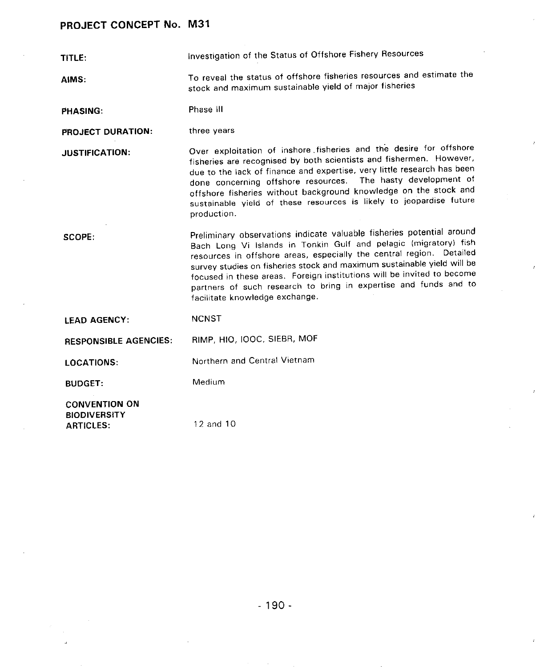TITL**E**: Investigation of the Status of Offshore Fishery Resources

AIMS: To reveal the stat**u**s of offshore fisheries reso**u**rces and estimate the stock and maximum sustainable yield of major fisheries

PHASING: Phase ill

PROJECT DURATION: three years

JUSTIFICATION: Over exploitation of inshore,fisheries and the desire for offshore fisheries are recognised by both scientists and fishermen. However, due to the lack of finance and expertise, very little research has been done concerning offshore resources. The hasty development of off**s**hore fisherie**s** wi**t**ho**u**t b**ac**kgro**u**nd k**n**owledg**e** o**n** the **st**o**c**k and sustainable yield of these resources is likely to jeopardise future production.

SCOPE: Preliminary observations indicate valuable fisheries potential around Bach Long Vi Islands in Tonkin Gulf and pelagic (migratory) fish resources in offshore areas, especially the central region. Detailed survey studies on fisheries stock and maximum sustainable yield will be focused in these areas. Foreign institutions will be invited to become partners of such research to bring in expertise and funds and to facilitate knowledge exchange.

| <b>LEAD AGENCY:</b>                         | NCNST                        |
|---------------------------------------------|------------------------------|
| <b>RESPONSIBLE AGENCIES:</b>                | RIMP, HIO, IOOC, SIEBR, MOF  |
| <b>LOCATIONS:</b>                           | Northern and Central Vietnam |
| <b>BUDGET:</b>                              | Medium                       |
| <b>CONVENTION ON</b><br><b>BIODIVERSITY</b> |                              |
| <b>ARTICLES:</b>                            | 12 and 10                    |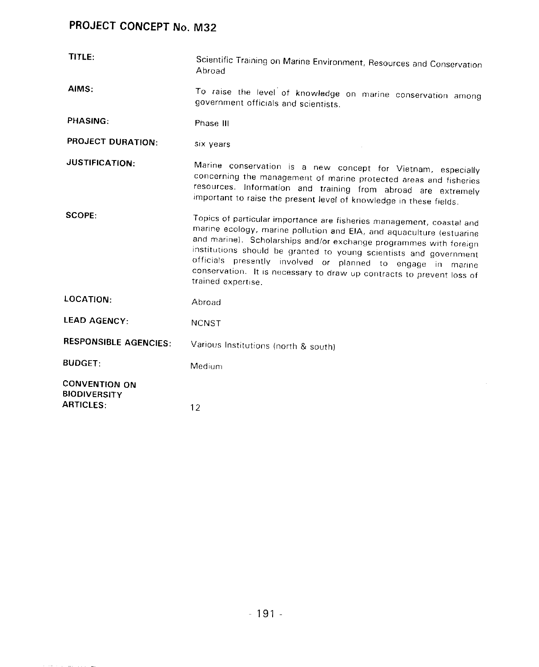| TITLE:                                                          | Scientific Training on Marine Environment, Resources and Conservation<br>Abroad                                                                                                                                                                                                                                                                                                                                                                       |
|-----------------------------------------------------------------|-------------------------------------------------------------------------------------------------------------------------------------------------------------------------------------------------------------------------------------------------------------------------------------------------------------------------------------------------------------------------------------------------------------------------------------------------------|
| AIMS:                                                           | To raise the level of knowledge on marine conservation among<br>government officials and scientists.                                                                                                                                                                                                                                                                                                                                                  |
| PHASING:                                                        | Phase III                                                                                                                                                                                                                                                                                                                                                                                                                                             |
| <b>PROJECT DURATION:</b>                                        | six years                                                                                                                                                                                                                                                                                                                                                                                                                                             |
| <b>JUSTIFICATION:</b>                                           | Marine conservation is a new concept for Vietnam, especially<br>concerning the management of marine protected areas and fisheries<br>resources. Information and training from abroad are extremely<br>important to raise the present level of knowledge in these fields.                                                                                                                                                                              |
| SCOPE:                                                          | Topics of particular importance are fisheries management, coastal and<br>marine ecology, marine pollution and EIA, and aquaculture (estuarine<br>and marine). Scholarships and/or exchange programmes with foreign<br>institutions should be granted to young scientists and government<br>officials presently involved or planned to engage in marine<br>conservation. It is necessary to draw up contracts to prevent loss of<br>trained expertise. |
| LOCATION:                                                       | Abroad                                                                                                                                                                                                                                                                                                                                                                                                                                                |
| <b>LEAD AGENCY:</b>                                             | <b>NCNST</b>                                                                                                                                                                                                                                                                                                                                                                                                                                          |
| <b>RESPONSIBLE AGENCIES:</b>                                    | Various Institutions (north & south)                                                                                                                                                                                                                                                                                                                                                                                                                  |
| <b>BUDGET:</b>                                                  | Medium                                                                                                                                                                                                                                                                                                                                                                                                                                                |
| <b>CONVENTION ON</b><br><b>BIODIVERSITY</b><br><b>ARTICLES:</b> | 12                                                                                                                                                                                                                                                                                                                                                                                                                                                    |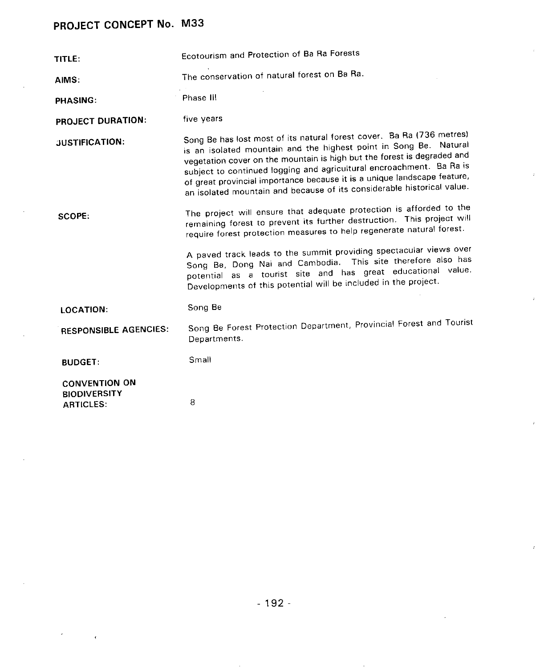$\bar{\pmb{\cdot}}$ 

| TITLE:                                                          | Ecotourism and Protection of Ba Ra Forests                                                                                                                                                                                                                                                                                                                                                                                                          |  |  |
|-----------------------------------------------------------------|-----------------------------------------------------------------------------------------------------------------------------------------------------------------------------------------------------------------------------------------------------------------------------------------------------------------------------------------------------------------------------------------------------------------------------------------------------|--|--|
| AIMS:                                                           | The conservation of natural forest on Ba Ra.                                                                                                                                                                                                                                                                                                                                                                                                        |  |  |
| <b>PHASING:</b>                                                 | Phase III                                                                                                                                                                                                                                                                                                                                                                                                                                           |  |  |
| <b>PROJECT DURATION:</b>                                        | five years                                                                                                                                                                                                                                                                                                                                                                                                                                          |  |  |
| <b>JUSTIFICATION:</b>                                           | Song Be has lost most of its natural forest cover. Ba Ra (736 metres)<br>is an isolated mountain and the highest point in Song Be. Natural<br>vegetation cover on the mountain is high but the forest is degraded and<br>subject to continued logging and agricultural encroachment. Ba Ra is<br>of great provincial importance because it is a unique landscape feature,<br>an isolated mountain and because of its considerable historical value. |  |  |
| SCOPE:                                                          | The project will ensure that adequate protection is afforded to the<br>remaining forest to prevent its further destruction. This project will<br>require forest protection measures to help regenerate natural forest.                                                                                                                                                                                                                              |  |  |
|                                                                 | A paved track leads to the summit providing spectacular views over<br>Song Be, Dong Nai and Cambodia. This site therefore also has<br>potential as a tourist site and has great educational value.<br>Developments of this potential will be included in the project.                                                                                                                                                                               |  |  |
| LOCATION:                                                       | Song Be                                                                                                                                                                                                                                                                                                                                                                                                                                             |  |  |
| <b>RESPONSIBLE AGENCIES:</b>                                    | Song Be Forest Protection Department, Provincial Forest and Tourist<br>Departments.                                                                                                                                                                                                                                                                                                                                                                 |  |  |
| <b>BUDGET:</b>                                                  | Small                                                                                                                                                                                                                                                                                                                                                                                                                                               |  |  |
| <b>CONVENTION ON</b><br><b>BIODIVERSITY</b><br><b>ARTICLES:</b> | 8                                                                                                                                                                                                                                                                                                                                                                                                                                                   |  |  |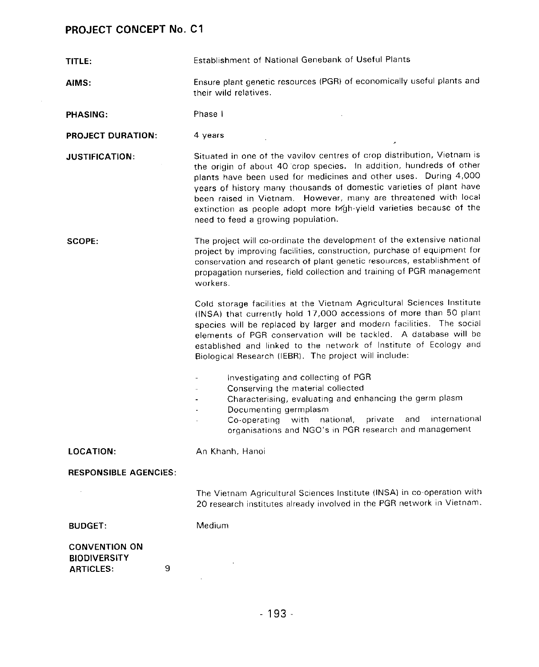| TITLE:                                                               | Establishment of National Genebank of Useful Plants                                                                                                                                                                                                                                                                                                                                                                                                                       |  |  |
|----------------------------------------------------------------------|---------------------------------------------------------------------------------------------------------------------------------------------------------------------------------------------------------------------------------------------------------------------------------------------------------------------------------------------------------------------------------------------------------------------------------------------------------------------------|--|--|
| AIMS:                                                                | Ensure plant genetic resources (PGR) of economically useful plants and<br>their wild relatives.                                                                                                                                                                                                                                                                                                                                                                           |  |  |
| <b>PHASING:</b>                                                      | Phase I                                                                                                                                                                                                                                                                                                                                                                                                                                                                   |  |  |
| <b>PROJECT DURATION:</b>                                             | 4 years                                                                                                                                                                                                                                                                                                                                                                                                                                                                   |  |  |
| <b>JUSTIFICATION:</b>                                                | Situated in one of the vavilov centres of crop distribution, Vietnam is<br>the origin of about 40 crop species. In addition, hundreds of other<br>plants have been used for medicines and other uses. During 4,000<br>years of history many thousands of domestic varieties of plant have<br>been raised in Vietnam. However, many are threatened with local<br>extinction as people adopt more high-yield varieties because of the<br>need to feed a growing population. |  |  |
| SCOPE:                                                               | The project will co-ordinate the development of the extensive national<br>project by improving facilities, construction, purchase of equipment for<br>conservation and research of plant genetic resources, establishment of<br>propagation nurseries, field collection and training of PGR management<br>workers.                                                                                                                                                        |  |  |
|                                                                      | Cold storage facilities at the Vietnam Agricultural Sciences Institute<br>(INSA) that currently hold 17,000 accessions of more than 50 plant<br>species will be replaced by larger and modern facilities. The social<br>elements of PGR conservation will be tackled. A database will be<br>established and linked to the network of Institute of Ecology and<br>Biological Research (IEBR). The project will include:                                                    |  |  |
|                                                                      | Investigating and collecting of PGR<br>Conserving the material collected<br>Characterising, evaluating and enhancing the germ plasm<br>Documenting germplasm<br>international<br>private<br>and<br>with<br>national,<br>Co-operating<br>organisations and NGO's in PGR research and management                                                                                                                                                                            |  |  |
| <b>LOCATION:</b>                                                     | An Khanh, Hanoi                                                                                                                                                                                                                                                                                                                                                                                                                                                           |  |  |
| <b>RESPONSIBLE AGENCIES:</b>                                         |                                                                                                                                                                                                                                                                                                                                                                                                                                                                           |  |  |
|                                                                      | The Vietnam Agricultural Sciences Institute (INSA) in co-operation with<br>20 research institutes already involved in the PGR network in Vietnam.                                                                                                                                                                                                                                                                                                                         |  |  |
| <b>BUDGET:</b>                                                       | Medium                                                                                                                                                                                                                                                                                                                                                                                                                                                                    |  |  |
| <b>CONVENTION ON</b><br><b>BIODIVERSITY</b><br>9<br><b>ARTICLES:</b> |                                                                                                                                                                                                                                                                                                                                                                                                                                                                           |  |  |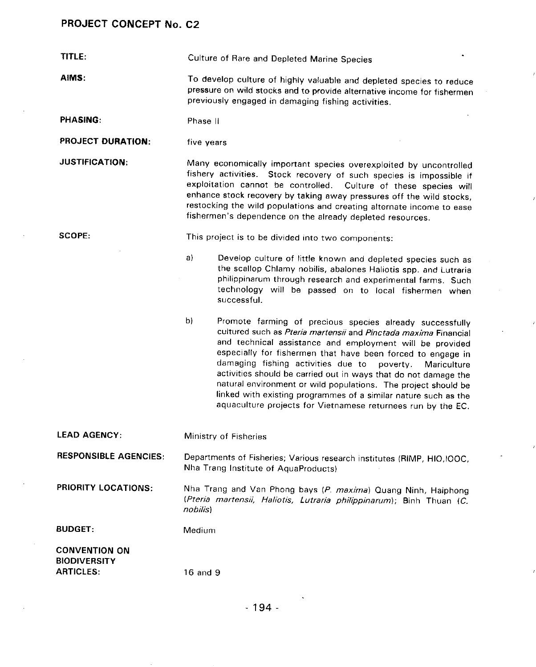TITLE: Culture of Rare and Depleted Marine Species

AIMS: To develop culture of highly valuable and depleted species to reduce pressure on wild stocks and to provide alternative income for fishermen previously engaged in damaging fishing activities.

PHASIN**G**: Phase II

PROJECT DURATION: five years

JUSTIFICATION: Many economically important species overexploited by uncontrolled fishery activities. Stock recovery of such species is impossible if exploitation cannot be controlled. Culture of these species will enhance stock recovery by taking away pressures off the wild stocks, restocking the wild populations and creating alternate income to ease fisherman's dependence on the already depleted resources.

SCOPE: This project is to be divided into two components:

a) Develop culture of little known and depleted species such as the scallop Chlamy nobilis**,** abalones Haliotis spp. and Lutraria philippinarum through research and experimental farms. Such technology will be passed on to local fishermen when successful.

- b) Promote farming of precious species already successfully cultured such as **Pter/a martens//**and **P/nct**a**da maxima** Financial and technical assistance and employment will be provided especially for fishermen that have been forced to engage in damaging fishing activities due to poverty. Mariculture damaging fishing activities due to poverty. activities should be carried out in ways that do not damage the natural environment or wild populations. The project should be linked with existing programmes of a similar nature such as the aquaculture projects for Vietnamese returnees run by the EC.
- LEAD AGENCY: Ministry of Fisheries

RESPONSIBLE AGENCIES: Departments of Fisheries; Various research institutes (RIMP**,** HIO**,**IOOC**,** Nha Trang Institute of AquaProducts)

PRIORITY LOCATIONS: Nha Trang and Van Phong bays (**P**. **maxima**) Quang Ninh**,** Haiphong (**Pteria martens**;'**/, Haliotis, Lutraria phi/ippinaru**m); Binh Thuan (**C**. **nobilis**)

BUDGET: Medium

CONVENTION ON **BIODIVERSITY** ARTICLES: 16 and 9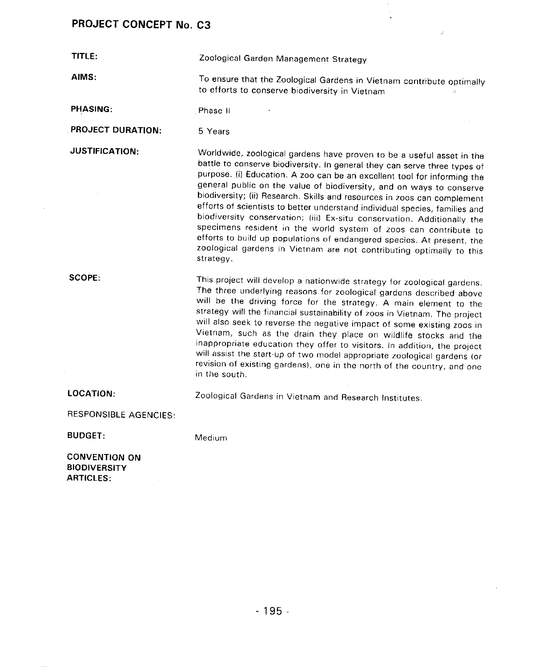$\sim$   $\sim$ 

| TITLE:                                                          | Zoological Garden Management Strategy                                                                                                                                                                                                                                                                                                                                                                                                                                                                                                                                                                                                                                                                                                                                           |  |  |
|-----------------------------------------------------------------|---------------------------------------------------------------------------------------------------------------------------------------------------------------------------------------------------------------------------------------------------------------------------------------------------------------------------------------------------------------------------------------------------------------------------------------------------------------------------------------------------------------------------------------------------------------------------------------------------------------------------------------------------------------------------------------------------------------------------------------------------------------------------------|--|--|
| AIMS:                                                           | To ensure that the Zoological Gardens in Vietnam contribute optimally<br>to efforts to conserve biodiversity in Vietnam                                                                                                                                                                                                                                                                                                                                                                                                                                                                                                                                                                                                                                                         |  |  |
| <b>PHASING:</b>                                                 | Phase II                                                                                                                                                                                                                                                                                                                                                                                                                                                                                                                                                                                                                                                                                                                                                                        |  |  |
| <b>PROJECT DURATION:</b>                                        | 5 Years                                                                                                                                                                                                                                                                                                                                                                                                                                                                                                                                                                                                                                                                                                                                                                         |  |  |
| <b>JUSTIFICATION:</b>                                           | Worldwide, zoological gardens have proven to be a useful asset in the<br>battle to conserve biodiversity. In general they can serve three types of<br>purpose. (i) Education. A zoo can be an excellent tool for informing the<br>general public on the value of biodiversity, and on ways to conserve<br>biodiversity; (ii) Research. Skills and resources in zoos can complement<br>efforts of scientists to better understand individual species, families and<br>biodiversity conservation; (iii) Ex-situ conservation. Additionally the<br>specimens resident in the world system of zoos can contribute to<br>efforts to build up populations of endangered species. At present, the<br>zoological gardens in Vietnam are not contributing optimally to this<br>strategy. |  |  |
| SCOPE:                                                          | This project will develop a nationwide strategy for zoological gardens.<br>The three underlying reasons for zoological gardens described above<br>will be the driving force for the strategy. A main element to the<br>strategy will the financial sustainability of zoos in Vietnam. The project<br>will also seek to reverse the negative impact of some existing zoos in<br>Vietnam, such as the drain they place on wildlife stocks and the<br>inappropriate education they offer to visitors. In addition, the project<br>will assist the start-up of two model appropriate zoological gardens (or<br>revision of existing gardens), one in the north of the country, and one<br>in the south.                                                                             |  |  |
| <b>LOCATION:</b>                                                | Zoological Gardens in Vietnam and Research Institutes.                                                                                                                                                                                                                                                                                                                                                                                                                                                                                                                                                                                                                                                                                                                          |  |  |
| RESPONSIBLE AGENCIES:                                           |                                                                                                                                                                                                                                                                                                                                                                                                                                                                                                                                                                                                                                                                                                                                                                                 |  |  |
| <b>BUDGET:</b>                                                  | Medium                                                                                                                                                                                                                                                                                                                                                                                                                                                                                                                                                                                                                                                                                                                                                                          |  |  |
| <b>CONVENTION ON</b><br><b>BIODIVERSITY</b><br><b>ARTICLES:</b> |                                                                                                                                                                                                                                                                                                                                                                                                                                                                                                                                                                                                                                                                                                                                                                                 |  |  |

 $\frac{1}{4}$ 

 $\sim 200$ 

 $\sim$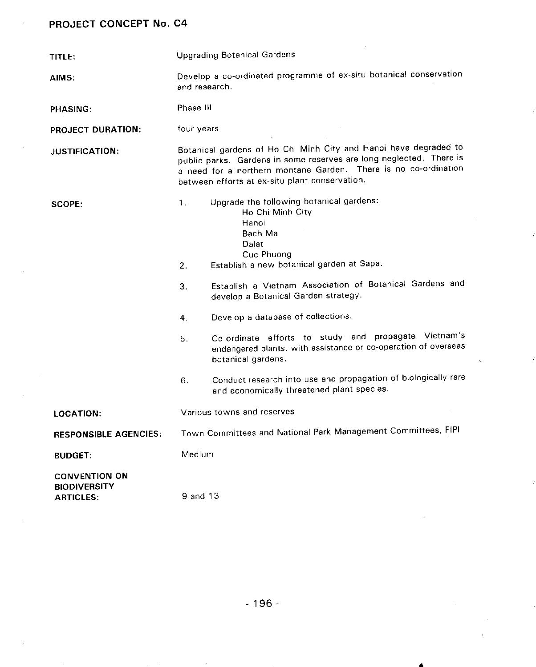| TITLE:                                                          | <b>Upgrading Botanical Gardens</b>                                                                                                                                                                                                                                                                                                                                                                                                                                                                                                                                                                             |  |  |
|-----------------------------------------------------------------|----------------------------------------------------------------------------------------------------------------------------------------------------------------------------------------------------------------------------------------------------------------------------------------------------------------------------------------------------------------------------------------------------------------------------------------------------------------------------------------------------------------------------------------------------------------------------------------------------------------|--|--|
| AIMS:                                                           | Develop a co-ordinated programme of ex-situ botanical conservation<br>and research.                                                                                                                                                                                                                                                                                                                                                                                                                                                                                                                            |  |  |
| <b>PHASING:</b>                                                 | Phase III                                                                                                                                                                                                                                                                                                                                                                                                                                                                                                                                                                                                      |  |  |
| <b>PROJECT DURATION:</b>                                        | four years                                                                                                                                                                                                                                                                                                                                                                                                                                                                                                                                                                                                     |  |  |
| <b>JUSTIFICATION:</b>                                           | Botanical gardens of Ho Chi Minh City and Hanoi have degraded to<br>public parks. Gardens in some reserves are long neglected. There is<br>a need for a northern montane Garden. There is no co-ordination<br>between efforts at ex-situ plant conservation.                                                                                                                                                                                                                                                                                                                                                   |  |  |
| SCOPE:                                                          | Upgrade the following botanical gardens:<br>1 <sub>1</sub><br>Ho Chi Minh City<br>Hanoi<br>Bach Ma<br>Dalat<br>Cuc Phuong<br>Establish a new botanical garden at Sapa.<br>2.<br>Establish a Vietnam Association of Botanical Gardens and<br>3.<br>develop a Botanical Garden strategy.<br>Develop a database of collections.<br>4.<br>Co-ordinate efforts to study and propagate Vietnam's<br>5.<br>endangered plants, with assistance or co-operation of overseas<br>botanical gardens.<br>Conduct research into use and propagation of biologically rare<br>6.<br>and economically threatened plant species. |  |  |
| <b>LOCATION:</b>                                                | Various towns and reserves                                                                                                                                                                                                                                                                                                                                                                                                                                                                                                                                                                                     |  |  |
| <b>RESPONSIBLE AGENCIES:</b>                                    | Town Committees and National Park Management Committees, FIPI                                                                                                                                                                                                                                                                                                                                                                                                                                                                                                                                                  |  |  |
| <b>BUDGET:</b>                                                  | Medium                                                                                                                                                                                                                                                                                                                                                                                                                                                                                                                                                                                                         |  |  |
| <b>CONVENTION ON</b><br><b>BIODIVERSITY</b><br><b>ARTICLES:</b> | 9 and 13                                                                                                                                                                                                                                                                                                                                                                                                                                                                                                                                                                                                       |  |  |

 $\overline{ }$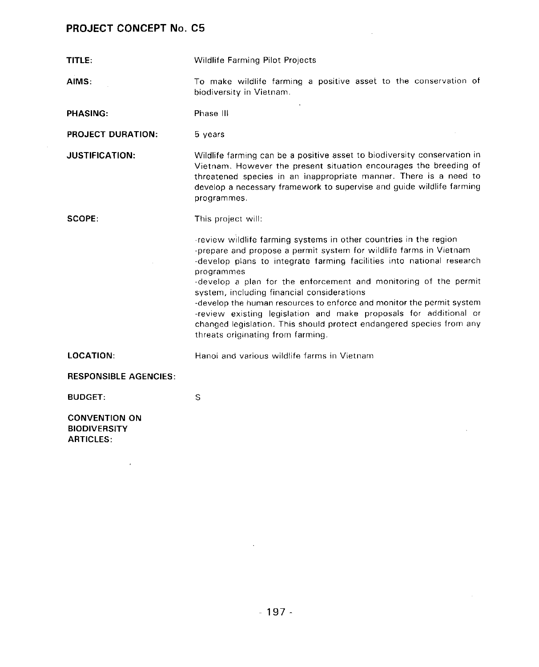$\sim 10$ 

| TITLE:                                                          | Wildlife Farming Pilot Projects                                                                                                                                                                                                                                                                                                                                                                                                                                                                                                                                                                             |  |  |
|-----------------------------------------------------------------|-------------------------------------------------------------------------------------------------------------------------------------------------------------------------------------------------------------------------------------------------------------------------------------------------------------------------------------------------------------------------------------------------------------------------------------------------------------------------------------------------------------------------------------------------------------------------------------------------------------|--|--|
| AIMS:                                                           | To make wildlife farming a positive asset to the conservation of<br>biodiversity in Vietnam.                                                                                                                                                                                                                                                                                                                                                                                                                                                                                                                |  |  |
| <b>PHASING:</b>                                                 | Phase III                                                                                                                                                                                                                                                                                                                                                                                                                                                                                                                                                                                                   |  |  |
| <b>PROJECT DURATION:</b>                                        | 5 years                                                                                                                                                                                                                                                                                                                                                                                                                                                                                                                                                                                                     |  |  |
| <b>JUSTIFICATION:</b>                                           | Wildlife farming can be a positive asset to biodiversity conservation in<br>Vietnam. However the present situation encourages the breeding of<br>threatened species in an inappropriate manner. There is a need to<br>develop a necessary framework to supervise and guide wildlife farming<br>programmes.                                                                                                                                                                                                                                                                                                  |  |  |
| SCOPE:                                                          | This project will:                                                                                                                                                                                                                                                                                                                                                                                                                                                                                                                                                                                          |  |  |
|                                                                 | -review wildlife farming systems in other countries in the region<br>-prepare and propose a permit system for wildlife farms in Vietnam<br>-develop plans to integrate farming facilities into national research<br>programmes<br>-develop a plan for the enforcement and monitoring of the permit<br>system, including financial considerations<br>-develop the human resources to enforce and monitor the permit system<br>-review existing legislation and make proposals for additional or<br>changed legislation. This should protect endangered species from any<br>threats originating from farming. |  |  |
| LOCATION:                                                       | Hanoi and various wildlife farms in Vietnam                                                                                                                                                                                                                                                                                                                                                                                                                                                                                                                                                                 |  |  |
| <b>RESPONSIBLE AGENCIES:</b>                                    |                                                                                                                                                                                                                                                                                                                                                                                                                                                                                                                                                                                                             |  |  |
| <b>BUDGET:</b>                                                  | S                                                                                                                                                                                                                                                                                                                                                                                                                                                                                                                                                                                                           |  |  |
| <b>CONVENTION ON</b><br><b>BIODIVERSITY</b><br><b>ARTICLES:</b> |                                                                                                                                                                                                                                                                                                                                                                                                                                                                                                                                                                                                             |  |  |

 $\sim$   $\sim$ 

 $\sim$   $\sim$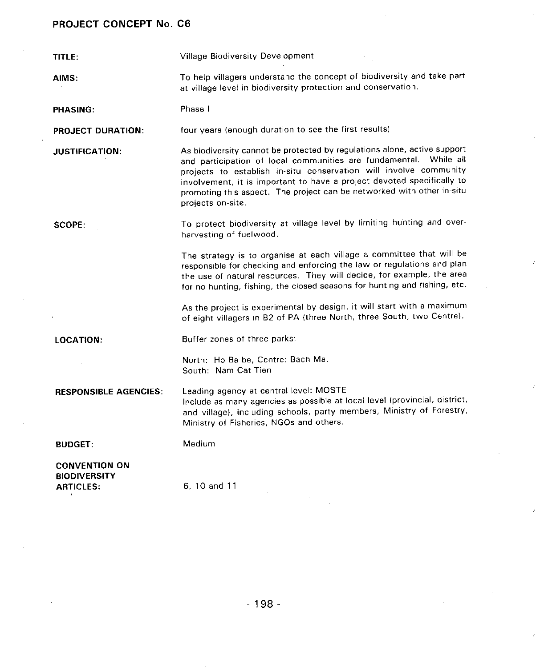| TITLE:                                                                 | <b>Village Biodiversity Development</b>                                                                                                                                                                                                                                                                                                                                                     |  |  |  |
|------------------------------------------------------------------------|---------------------------------------------------------------------------------------------------------------------------------------------------------------------------------------------------------------------------------------------------------------------------------------------------------------------------------------------------------------------------------------------|--|--|--|
| AIMS:                                                                  | To help villagers understand the concept of biodiversity and take part<br>at village level in biodiversity protection and conservation.                                                                                                                                                                                                                                                     |  |  |  |
| <b>PHASING:</b>                                                        | Phase I                                                                                                                                                                                                                                                                                                                                                                                     |  |  |  |
| <b>PROJECT DURATION:</b>                                               | four years (enough duration to see the first results)                                                                                                                                                                                                                                                                                                                                       |  |  |  |
| <b>JUSTIFICATION:</b>                                                  | As biodiversity cannot be protected by regulations alone, active support<br>and participation of local communities are fundamental. While all<br>projects to establish in-situ conservation will involve community<br>involvement, it is important to have a project devoted specifically to<br>promoting this aspect. The project can be networked with other in-situ<br>projects on-site. |  |  |  |
| SCOPE:                                                                 | To protect biodiversity at village level by limiting hunting and over-<br>harvesting of fuelwood.                                                                                                                                                                                                                                                                                           |  |  |  |
|                                                                        | The strategy is to organise at each village a committee that will be<br>responsible for checking and enforcing the law or regulations and plan<br>the use of natural resources. They will decide, for example, the area<br>for no hunting, fishing, the closed seasons for hunting and fishing, etc.                                                                                        |  |  |  |
|                                                                        | As the project is experimental by design, it will start with a maximum<br>of eight villagers in B2 of PA (three North, three South, two Centre).                                                                                                                                                                                                                                            |  |  |  |
| <b>LOCATION:</b>                                                       | Buffer zones of three parks:                                                                                                                                                                                                                                                                                                                                                                |  |  |  |
|                                                                        | North: Ho Ba be, Centre: Bach Ma,<br>South: Nam Cat Tien                                                                                                                                                                                                                                                                                                                                    |  |  |  |
| <b>RESPONSIBLE AGENCIES:</b>                                           | Leading agency at central level: MOSTE<br>Include as many agencies as possible at local level (provincial, district,<br>and village), including schools, party members, Ministry of Forestry,<br>Ministry of Fisheries, NGOs and others.                                                                                                                                                    |  |  |  |
| <b>BUDGET:</b>                                                         | Medium                                                                                                                                                                                                                                                                                                                                                                                      |  |  |  |
| <b>CONVENTION ON</b><br><b>BIODIVERSITY</b><br><b>ARTICLES:</b><br>-91 | 6, 10 and 11                                                                                                                                                                                                                                                                                                                                                                                |  |  |  |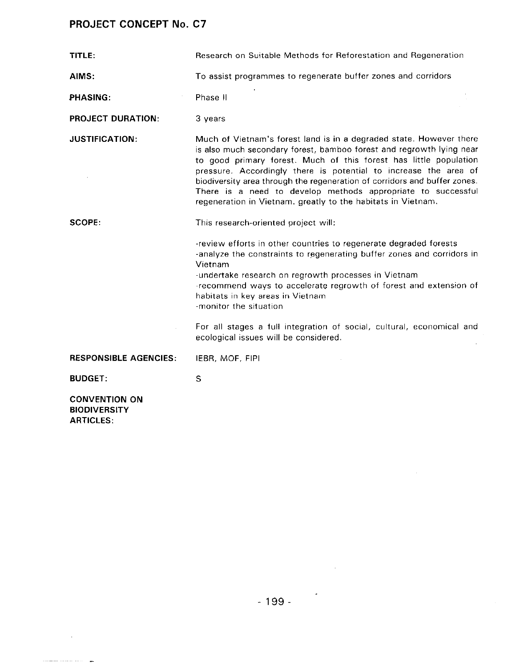$\sim 10^{11}$ 

 $\label{eq:1} \left\langle \left\langle \cdot\right\rangle \right\rangle \left\langle \cdot\right\rangle \left\langle \cdot\right\rangle \left\langle \cdot\right\rangle \left\langle \cdot\right\rangle \left\langle \cdot\right\rangle \left\langle \cdot\right\rangle \left\langle \cdot\right\rangle \left\langle \cdot\right\rangle \left\langle \cdot\right\rangle \left\langle \cdot\right\rangle \left\langle \cdot\right\rangle \left\langle \cdot\right\rangle \left\langle \cdot\right\rangle \left\langle \cdot\right\rangle \left\langle \cdot\right\rangle \left\langle \cdot\right\rangle \left\langle \cdot\right\rangle \left\langle \cdot\right\rangle \left\langle \cdot\right\rangle \left\langle \$ 

 $\overline{\phantom{a}}$ 

| TITLE:                                                          | Research on Suitable Methods for Reforestation and Regeneration                                                                                                                                                                                                                                                                                                                                                                                                                                   |  |  |
|-----------------------------------------------------------------|---------------------------------------------------------------------------------------------------------------------------------------------------------------------------------------------------------------------------------------------------------------------------------------------------------------------------------------------------------------------------------------------------------------------------------------------------------------------------------------------------|--|--|
| AIMS:                                                           | To assist programmes to regenerate buffer zones and corridors                                                                                                                                                                                                                                                                                                                                                                                                                                     |  |  |
| PHASING:                                                        | Phase II                                                                                                                                                                                                                                                                                                                                                                                                                                                                                          |  |  |
| <b>PROJECT DURATION:</b>                                        | 3 years                                                                                                                                                                                                                                                                                                                                                                                                                                                                                           |  |  |
| <b>JUSTIFICATION:</b>                                           | Much of Vietnam's forest land is in a degraded state. However there<br>is also much secondary forest, bamboo forest and regrowth lying near<br>to good primary forest. Much of this forest has little population<br>pressure. Accordingly there is potential to increase the area of<br>biodiversity area through the regeneration of corridors and buffer zones.<br>There is a need to develop methods appropriate to successful<br>regeneration in Vietnam. greatly to the habitats in Vietnam. |  |  |
| SCOPE:                                                          | This research-oriented project will:                                                                                                                                                                                                                                                                                                                                                                                                                                                              |  |  |
|                                                                 | -review efforts in other countries to regenerate degraded forests<br>-analyze the constraints to regenerating buffer zones and corridors in<br>Vietnam<br>-undertake research on regrowth processes in Vietnam<br>-recommend ways to accelerate regrowth of forest and extension of<br>habitats in key areas in Vietnam<br>-monitor the situation                                                                                                                                                 |  |  |
|                                                                 | For all stages a full integration of social, cultural, economical and<br>ecological issues will be considered.                                                                                                                                                                                                                                                                                                                                                                                    |  |  |
| <b>RESPONSIBLE AGENCIES:</b>                                    | IEBR, MOF, FIPI                                                                                                                                                                                                                                                                                                                                                                                                                                                                                   |  |  |
| <b>BUDGET:</b>                                                  | S                                                                                                                                                                                                                                                                                                                                                                                                                                                                                                 |  |  |
| <b>CONVENTION ON</b><br><b>BIODIVERSITY</b><br><b>ARTICLES:</b> |                                                                                                                                                                                                                                                                                                                                                                                                                                                                                                   |  |  |

 $\overline{\phantom{a}}$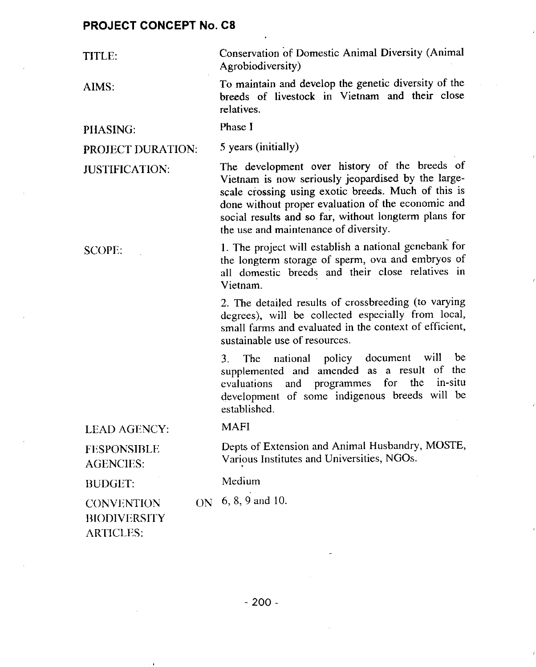| TITLE:                                                             | Conservation of Domestic Animal Diversity (Animal<br>Agrobiodiversity)                                                                                                                                                                                                                                             |  |  |
|--------------------------------------------------------------------|--------------------------------------------------------------------------------------------------------------------------------------------------------------------------------------------------------------------------------------------------------------------------------------------------------------------|--|--|
| AIMS:                                                              | To maintain and develop the genetic diversity of the<br>breeds of livestock in Vietnam and their close<br>relatives.                                                                                                                                                                                               |  |  |
| PHASING:                                                           | Phase I                                                                                                                                                                                                                                                                                                            |  |  |
| PROJECT DURATION:                                                  | 5 years (initially)                                                                                                                                                                                                                                                                                                |  |  |
| <b>JUSTIFICATION:</b>                                              | The development over history of the breeds of<br>Vietnam is now seriously jeopardised by the large-<br>scale crossing using exotic breeds. Much of this is<br>done without proper evaluation of the economic and<br>social results and so far, without longterm plans for<br>the use and maintenance of diversity. |  |  |
| <b>SCOPE:</b>                                                      | 1. The project will establish a national genebank for<br>the longterm storage of sperm, ova and embryos of<br>all domestic breeds and their close relatives in<br>Vietnam.                                                                                                                                         |  |  |
|                                                                    | 2. The detailed results of crossbreeding (to varying<br>degrees), will be collected especially from local,<br>small farms and evaluated in the context of efficient,<br>sustainable use of resources.                                                                                                              |  |  |
|                                                                    | national policy document will<br>be<br>3.<br>The<br>of the<br>supplemented and amended as a result<br>evaluations and programmes for the in-situ<br>development of some indigenous breeds will be<br>established.                                                                                                  |  |  |
| <b>LEAD AGENCY:</b>                                                | <b>MAFI</b>                                                                                                                                                                                                                                                                                                        |  |  |
| <b>FESPONSIBLE</b><br><b>AGENCIES:</b>                             | Depts of Extension and Animal Husbandry, MOSTE,<br>Various Institutes and Universities, NGOs.                                                                                                                                                                                                                      |  |  |
| <b>BUDGET:</b>                                                     | Medium                                                                                                                                                                                                                                                                                                             |  |  |
| ON<br><b>CONVENTION</b><br><b>BIODIVERSITY</b><br><b>ARTICLES:</b> | 6, 8, 9 and 10.                                                                                                                                                                                                                                                                                                    |  |  |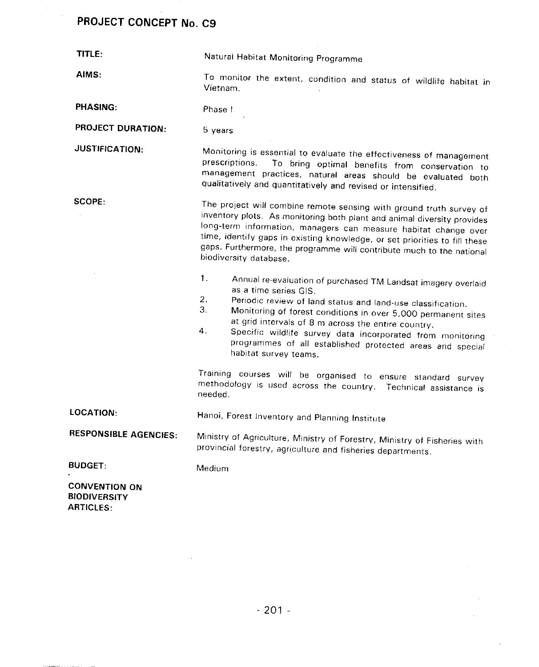$\bar{\beta}$  $\hat{\boldsymbol{\beta}}$ 

| TITLE:                                                          | Natural Habitat Monitoring Programme                                                                                                                                                                                                                                                                                                                                                                                                                      |  |  |
|-----------------------------------------------------------------|-----------------------------------------------------------------------------------------------------------------------------------------------------------------------------------------------------------------------------------------------------------------------------------------------------------------------------------------------------------------------------------------------------------------------------------------------------------|--|--|
| AIMS:                                                           | To monitor the extent, condition and status of wildlife habitat in<br>Vietnam.                                                                                                                                                                                                                                                                                                                                                                            |  |  |
| PHASING:                                                        | Phase I                                                                                                                                                                                                                                                                                                                                                                                                                                                   |  |  |
| <b>PROJECT DURATION:</b>                                        | 5 years                                                                                                                                                                                                                                                                                                                                                                                                                                                   |  |  |
| <b>JUSTIFICATION:</b>                                           | Monitoring is essential to evaluate the effectiveness of management<br>prescriptions.<br>To bring optimal benefits from conservation to<br>management practices, natural areas should be evaluated both<br>qualitatively and quantitatively and revised or intensified.                                                                                                                                                                                   |  |  |
| SCOPE:                                                          | The project will combine remote sensing with ground truth survey of<br>inventory plots. As monitoring both plant and animal diversity provides<br>long-term information, managers can measure habitat change over<br>time, identify gaps in existing knowledge, or set priorities to fill these<br>gaps. Furthermore, the programme will contribute much to the national<br>biodiversity database.                                                        |  |  |
|                                                                 | 1.<br>Annual re-evaluation of purchased TM Landsat imagery overlaid<br>as a time series GIS.<br>2.<br>Periodic review of land status and land-use classification.<br>3.<br>Monitoring of forest conditions in over 5,000 permanent sites<br>at grid intervals of 8 m across the entire country.<br>4.<br>Specific wildlife survey data incorporated from monitoring<br>programmes of all established protected areas and special<br>habitat survey teams. |  |  |
|                                                                 | Training courses will be organised to ensure standard survey<br>methodology is used across the country. Technical assistance is<br>needed.                                                                                                                                                                                                                                                                                                                |  |  |
| <b>LOCATION:</b>                                                | Hanoi, Forest Inventory and Planning Institute                                                                                                                                                                                                                                                                                                                                                                                                            |  |  |
| <b>RESPONSIBLE AGENCIES:</b>                                    | Ministry of Agriculture, Ministry of Forestry, Ministry of Fisheries with<br>provincial forestry, agriculture and fisheries departments.                                                                                                                                                                                                                                                                                                                  |  |  |
| <b>BUDGET:</b>                                                  | Medium                                                                                                                                                                                                                                                                                                                                                                                                                                                    |  |  |
| <b>CONVENTION ON</b><br><b>BIODIVERSITY</b><br><b>ARTICLES:</b> |                                                                                                                                                                                                                                                                                                                                                                                                                                                           |  |  |

 $\sim$ 

 $\bar{\mathcal{A}}$ 

 $\sim 10^6$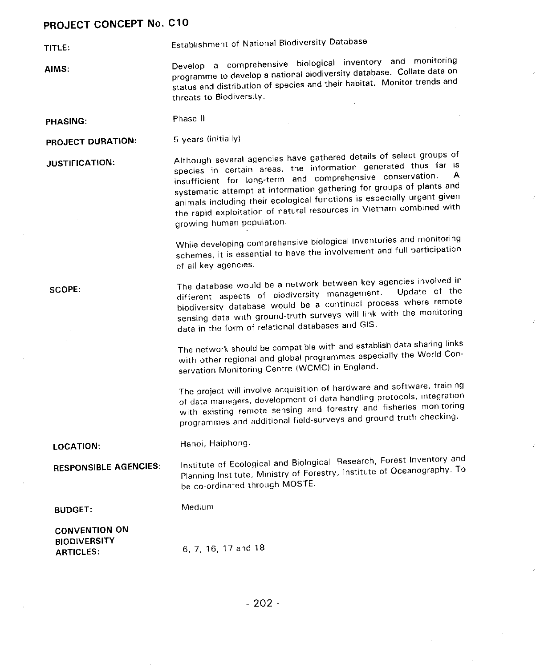TITLE: Establishment of National Biodiversity Database

AIMS: **Develop a comprehensive biological inventory** and monitoring<br>programme to develop a national biodiversity database. Collate data on p**r**og**ra**mme t**o** dev**e**l**o**p **a** oation**a**\_ bJodive**rs**ity d**a**t**a**b**as**e. C**o**ll**a**t**e** d**a**t**a on** status and distribution of species and their habitat. Monitor trends threats to Biodiversity.

PHASIN**G**: Phase II

PROJECT DURATION: 5 years (initially)

JUSTIFICATION: Although several agencies have gathered according constant thus far species in certain areas, the implimation generated three insuffi**c**ient for long**-**term **a**nd comprehens**i**v**e co**n**s**ervat**i**on. A animals including their ecological functions is especially urgent given animals including their ecological functions is especially combined w the rapid exploitation of natural resources in Victimines with growing human population.

> While developing comprehensive biological inventories and **monitoring** schemes, it is essential to have the involvement and full participation of all key agencies,

SCOPE: The database would be a network between key agencies involved in<br>different aspects of biodiversity management. Update of the different aspects of biodiversity management. biodiversity database would be a continual process where sensing data with ground-truth surveys will link with the monitoring data in the form of relational databases and GIS.

> The **n**etwo**r**k **s**ho**u**ld b**e c**o**mpa**tibl**e** with and **es**t**a**blish d**a**t**a s**ha**r**i**n**g li**n**ks with other regional and global programmes especially the World Conservation Monitoring Centre (WCMC) in England.

**T**he project will involve acquisition of hardware and software**,** training of data m**ana**gers, d**e**vel**o**pme**n**t of data handli**ng** p**r**o**t**oc**o**ls**,** integrati**on** with existing remote sensing and forces, and from truth check programmes and additional field-surveys and ground truth checking.

LOCATION: Hanoi, Haiphong.

RESPONSIBLE AGENCIES: Institute of Ecological and Biological Research in the Search of Ocenography Planning Institute, Ministry of Forestry, Institute of Oceanography. be co-ordinated through MOSTE.

BUDGE**T**: M**e**dium

CONVENTION ON **BIODIVERSITY** ARTICLES: 6**,** 7**,** 16, 17 and 18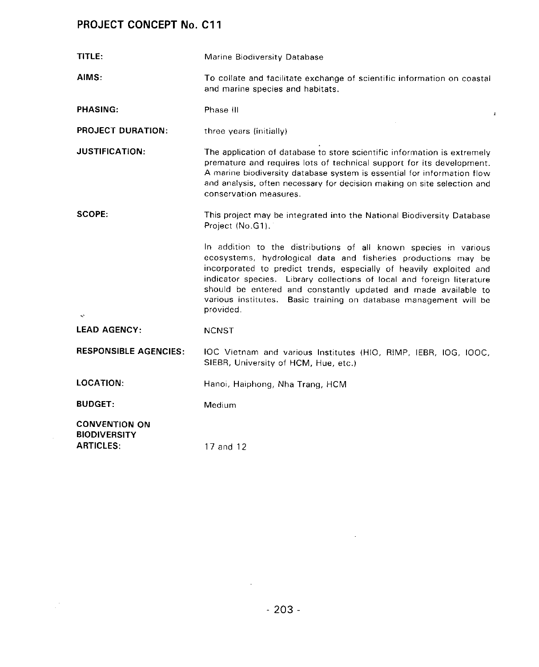$\sim 10^{-11}$ 

 $\frac{1}{2} \frac{1}{2} \frac{1}{2}$ 

| TITLE:                                                          | Marine Biodiversity Database                                                                                                                                                                                                                                                                                                                                                                                                               |  |  |
|-----------------------------------------------------------------|--------------------------------------------------------------------------------------------------------------------------------------------------------------------------------------------------------------------------------------------------------------------------------------------------------------------------------------------------------------------------------------------------------------------------------------------|--|--|
| AIMS:                                                           | To collate and facilitate exchange of scientific information on coastal<br>and marine species and habitats.                                                                                                                                                                                                                                                                                                                                |  |  |
| <b>PHASING:</b>                                                 | Phase III                                                                                                                                                                                                                                                                                                                                                                                                                                  |  |  |
| <b>PROJECT DURATION:</b>                                        | three years (initially)                                                                                                                                                                                                                                                                                                                                                                                                                    |  |  |
| <b>JUSTIFICATION:</b>                                           | The application of database to store scientific information is extremely<br>premature and requires lots of technical support for its development.<br>A marine biodiversity database system is essential for information flow<br>and analysis, often necessary for decision making on site selection and<br>conservation measures.                                                                                                          |  |  |
| SCOPE:                                                          | This project may be integrated into the National Biodiversity Database<br>Project (No.G1).                                                                                                                                                                                                                                                                                                                                                 |  |  |
| $\mathbf{x}^{\mathsf{s}}$                                       | In addition to the distributions of all known species in various<br>ecosystems, hydrological data and fisheries productions may be<br>incorporated to predict trends, especially of heavily exploited and<br>indicator species. Library collections of local and foreign literature<br>should be entered and constantly updated and made available to<br>various institutes.<br>Basic training on database management will be<br>provided. |  |  |
| <b>LEAD AGENCY:</b>                                             | <b>NCNST</b>                                                                                                                                                                                                                                                                                                                                                                                                                               |  |  |
| <b>RESPONSIBLE AGENCIES:</b>                                    | IOC Vietnam and various Institutes (HIO, RIMP, IEBR, IOG, IOOC,<br>SIEBR, University of HCM, Hue, etc.)                                                                                                                                                                                                                                                                                                                                    |  |  |
| <b>LOCATION:</b>                                                | Hanoi, Haiphong, Nha Trang, HCM                                                                                                                                                                                                                                                                                                                                                                                                            |  |  |
| <b>BUDGET:</b>                                                  | Medium                                                                                                                                                                                                                                                                                                                                                                                                                                     |  |  |
| <b>CONVENTION ON</b><br><b>BIODIVERSITY</b><br><b>ARTICLES:</b> | 17 and 12                                                                                                                                                                                                                                                                                                                                                                                                                                  |  |  |

 $\mathcal{L}^{\text{max}}_{\text{max}}$  and  $\mathcal{L}^{\text{max}}_{\text{max}}$ 

 $\sim 10^{11}$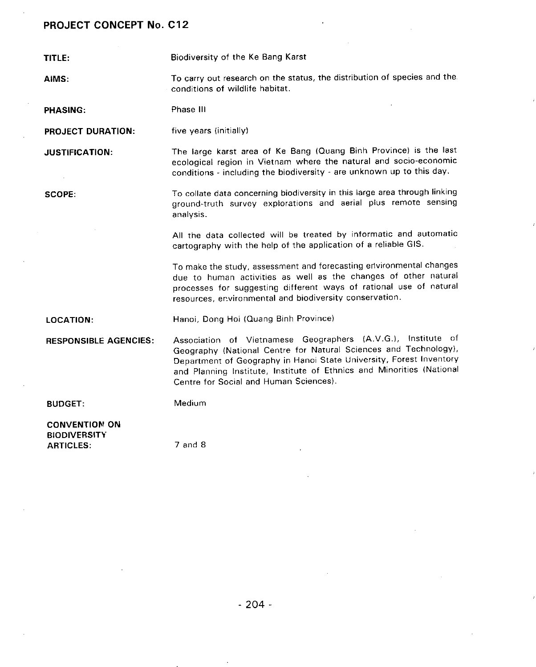TITLE: Biodiversity of the Ke Bang Karst

AIMS: To carry out research on the status**,** the distribution of species and the conditions of wildlife habitat.

PHASING: Phase III

PROJECT DURATION: five years (initially)

JUSTIFICATION: The large karst area of Ke Bang (Quang Bioh Province) is the last ecological region in Vietnam where the natural and socio**-**economic conditions **-** including the biodiversity - are unknown up to this day.

SCOPE: To collate data concerning biodiversity in this large ar**e**a through linking ground-truth survey explorations and aerial plus remote sensing analysis.

> All the data collected will be treated by informatic and automatic cartography with the help of the application of e reliable GIS.

> To make the study, assessment and forecasting edvironmental changes due to human activities as well as the changes of other natural processes for suggesting different ways of rational use of natural resources, environmental and biodiversity conservation.

LOCATION: Hanoi, Dong Hoi (Quang Binh Province)

RESPONSIBLE AGENCIES: Association of Vietnamese Geographers (A.V.G.), Institute of Geography (National Centre for Natural Sciences and Technology)**,** Department of Geography in Hanoi State University**,** Forest Inventory and Planning Institute, Institute of Ethnics and Minorities (National Centre for Social and Human Sciences).

BUDGET: Medium

CONVENTION ON BIODIVERSITY ARTICLES: 7 and 8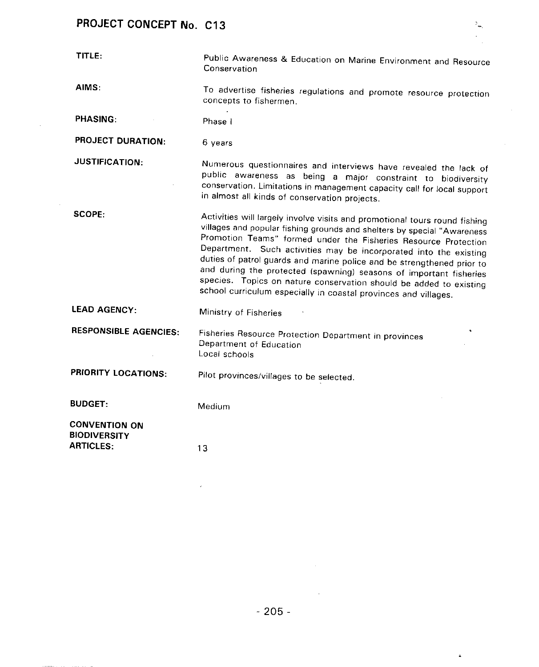$\mathcal{A}^{\pm}$ 

 $\sim$   $\sim$ 

| TITLE:                                                          | Public Awareness & Education on Marine Environment and Resource<br>Conservation                                                                                                                                                                                                                                                                                                                                                                                                                                                                                                        |  |  |  |
|-----------------------------------------------------------------|----------------------------------------------------------------------------------------------------------------------------------------------------------------------------------------------------------------------------------------------------------------------------------------------------------------------------------------------------------------------------------------------------------------------------------------------------------------------------------------------------------------------------------------------------------------------------------------|--|--|--|
| AIMS:                                                           | To advertise fisheries regulations and promote resource protection<br>concepts to fishermen.                                                                                                                                                                                                                                                                                                                                                                                                                                                                                           |  |  |  |
| <b>PHASING:</b>                                                 | Phase i                                                                                                                                                                                                                                                                                                                                                                                                                                                                                                                                                                                |  |  |  |
| <b>PROJECT DURATION:</b>                                        | 6 years                                                                                                                                                                                                                                                                                                                                                                                                                                                                                                                                                                                |  |  |  |
| <b>JUSTIFICATION:</b>                                           | Numerous questionnaires and interviews have revealed the lack of<br>public awareness as being a major constraint to biodiversity<br>conservation. Limitations in management capacity call for local support<br>in almost all kinds of conservation projects.                                                                                                                                                                                                                                                                                                                           |  |  |  |
| <b>SCOPE:</b>                                                   | Activities will largely involve visits and promotional tours round fishing<br>villages and popular fishing grounds and shelters by special "Awareness<br>Promotion Teams" formed under the Fisheries Resource Protection<br>Department. Such activities may be incorporated into the existing<br>duties of patrol guards and marine police and be strengthened prior to<br>and during the protected (spawning) seasons of important fisheries<br>species. Topics on nature conservation should be added to existing<br>school curriculum especially in coastal provinces and villages. |  |  |  |
| <b>LEAD AGENCY:</b>                                             | Ministry of Fisheries                                                                                                                                                                                                                                                                                                                                                                                                                                                                                                                                                                  |  |  |  |
| <b>RESPONSIBLE AGENCIES:</b>                                    | à.<br>Fisheries Resource Protection Department in provinces<br>Department of Education<br>Local schools                                                                                                                                                                                                                                                                                                                                                                                                                                                                                |  |  |  |
| PRIORITY LOCATIONS:                                             | Pilot provinces/villages to be selected.                                                                                                                                                                                                                                                                                                                                                                                                                                                                                                                                               |  |  |  |
| <b>BUDGET:</b>                                                  | Medium                                                                                                                                                                                                                                                                                                                                                                                                                                                                                                                                                                                 |  |  |  |
| <b>CONVENTION ON</b><br><b>BIODIVERSITY</b><br><b>ARTICLES:</b> | 13                                                                                                                                                                                                                                                                                                                                                                                                                                                                                                                                                                                     |  |  |  |

 $\frac{1}{2}$ 

 $\pmb{\ast}$ 

 $\sim 10^7$ 

 $\bar{z}$ 

 $\boldsymbol{\delta}$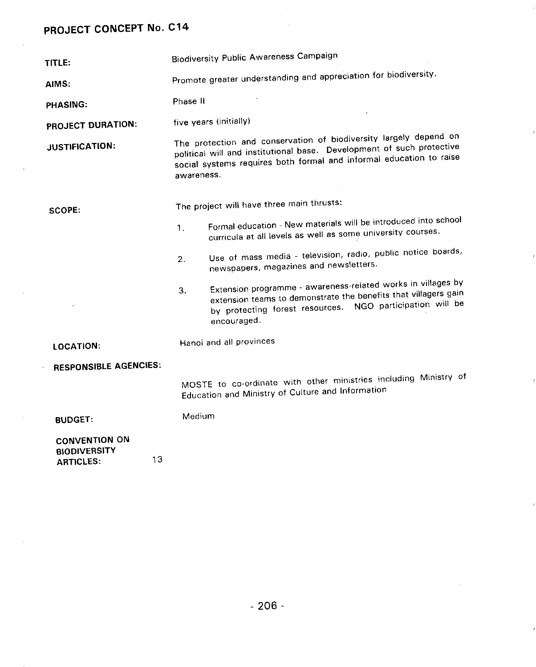ARTICLES:

 $\sim$ 

| TITLE:                                                                |                                                                                                                                                                                                                                 | <b>Biodiversity Public Awareness Campaign</b>                                                                                                                                                               |  |  |
|-----------------------------------------------------------------------|---------------------------------------------------------------------------------------------------------------------------------------------------------------------------------------------------------------------------------|-------------------------------------------------------------------------------------------------------------------------------------------------------------------------------------------------------------|--|--|
| AIMS:                                                                 | Promote greater understanding and appreciation for biodiversity.                                                                                                                                                                |                                                                                                                                                                                                             |  |  |
| <b>PHASING:</b>                                                       | Phase II                                                                                                                                                                                                                        |                                                                                                                                                                                                             |  |  |
| PROJECT DURATION:                                                     | five years (initially)                                                                                                                                                                                                          |                                                                                                                                                                                                             |  |  |
| <b>JUSTIFICATION:</b>                                                 | The protection and conservation of biodiversity largely depend on<br>political will and institutional base. Development of such protective<br>social systems requires both formal and informal education to raise<br>awareness. |                                                                                                                                                                                                             |  |  |
| SCOPE:                                                                |                                                                                                                                                                                                                                 | The project will have three main thrusts:                                                                                                                                                                   |  |  |
|                                                                       | 1.                                                                                                                                                                                                                              | Formal education - New materials will be introduced into school<br>curricula at all levels as well as some university courses.                                                                              |  |  |
|                                                                       | 2.                                                                                                                                                                                                                              | Use of mass media - television, radio, public notice boards,<br>newspapers, magazines and newsletters.                                                                                                      |  |  |
|                                                                       | 3.                                                                                                                                                                                                                              | Extension programme - awareness-related works in villages by<br>extension teams to demonstrate the benefits that villagers gain<br>by protecting forest resources. NGO participation will be<br>encouraged. |  |  |
| <b>LOCATION:</b>                                                      |                                                                                                                                                                                                                                 | Hanoi and all provinces                                                                                                                                                                                     |  |  |
| <b>RESPONSIBLE AGENCIES:</b>                                          |                                                                                                                                                                                                                                 |                                                                                                                                                                                                             |  |  |
|                                                                       |                                                                                                                                                                                                                                 | MOSTE to co-ordinate with other ministries including Ministry of<br>Education and Ministry of Culture and Information                                                                                       |  |  |
| <b>BUDGET:</b>                                                        | Medium                                                                                                                                                                                                                          |                                                                                                                                                                                                             |  |  |
| <b>CONVENTION ON</b><br><b>BIODIVERSITY</b><br>13<br><b>ARTICLES:</b> |                                                                                                                                                                                                                                 |                                                                                                                                                                                                             |  |  |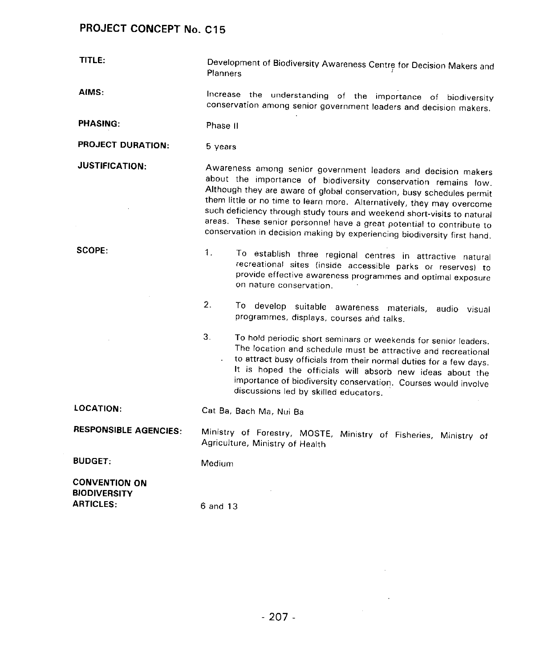**TITLE:** Development of Biodiversity Awareness Centre for Decision Makers **Planners** 

AIMS: Increase the understanding of the imp**o**rtance of biodiversity conservation among senior government leaders and decision makers.

PHASING: Phase II

PROJECT DURATION: 5 years

JUSTIFICATION: Awareness among senior government leaders and decision m**a**kers about the importance **o**f biodiversity conservation remains Iow. Although they are aware **o**f global conservation**,** busy schedules permit them little or no time to learn more. Alternatively, they may overcome such deficiency through study tours and weekend short**-**visits to natural areas, Th**e**se senior personnel hav**e** a great potential to contribute to conservation in decision making by **e**xperiencing biodiversity first hand.

SCOPE: 1. To establish three regional centres in attractive natural recreational sites (inside accessible parks or reserves) to provide effective awareness programmes and optimal exposur**e** on nature conservation.

> 2. To develop suitable awareness **m**aterials**,** audio visual pr**o**grammes**,** displays**,** courses ahd talks.

> 3. To hold periodic short seminars or we**e**kends for seni**o**r leaders. The location and schedule must be attractive and recreational to attra**c**t busy officials from their normal duties for a few days. It is hoped the officials wilt absorb new ideas about the importance of biodiversity conservation. Courses would involve discussions led by skilled educators.

LOCATION: Cat Ba**,** Bach Ma**,** Nui Ba

RESPONSIBLE AGENCIES: Ministry of Forestry**,** MOSTE**,** Ministry of Fisheries**,** Ministry of AgricuJtura, Ministry of Health

BUDGET: Medium

CONVENTION ON **BIODIVERSITY** ARTI**C**LES: 6 and 13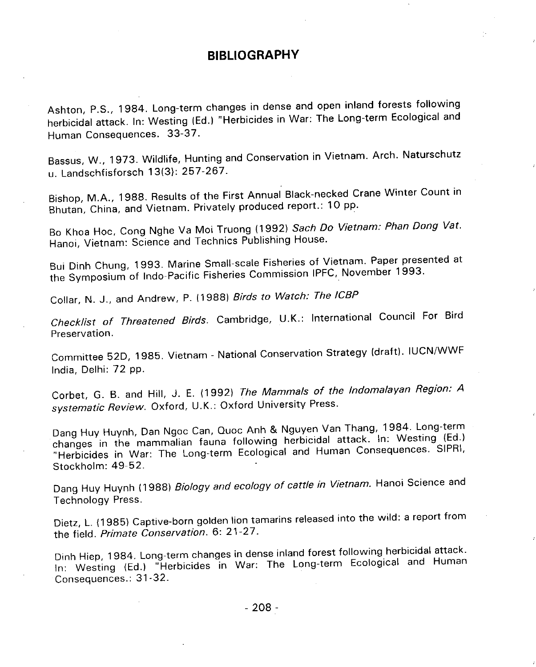#### BIBLIO**G**RAPHY

Ashton**,** P.S.**,** 1984. Long-term changes in dense and open inland forests following herbicidal attack. In: Westing (Ed.) "Herbicides in War: The Long-term Ecological and Ecological and Ecologica Human Consequences. 33-37.

Bassus, W., 1973. Wildlife**,** Hunting and Conservation in Vietnam. Arch. Naturschutz u. Landschfisforsch 13(3): 257-267.

Bishop**,** M.A.**,** 1988. Results of the First Annual Black-necked Crane Winter Count in Bhutan**,** China**,** and Vietnam. Privately produced report.: 10 pp.

Bo Khoa Hoc, Cong Nghe Va Mol Truong (1992) **Sach Do Vietnam: Phan Dong Vat**. Hanoi**,** Vietnam: Science and Technics Publishing House.

Bui Dinh Chung, 1993. Marine Small-scale Fisheries of Vietnam. Paper 1993. the Symposium of Indo-Pacific Fisheries Commission IPFC, November 1993.

Collar**,** N. J.**,** and Andrew, P. (1988) **Birds to Watch:** T**he ICBP**

**Checklist of Threatened Birds**. Cambridge**,** U.K.: Internation**a**l Council For Bird Preservation.

Committee 52D**,** 1985. Vietnam - National Conservation Strategy (draft). IUCN**/**WWF India**,** Delhi: 72 pp.

Corbet**,** G. B. and Hill**,** J. E. (1992) **The Mammals of the Indomalayan Region: A systematic Review**. Oxford**,** U.K.: Oxford University Press.

Dang Huy Huynh, Dan Ngoc Can**,** Quoc Anh & Nguyen Van Thang**,** 1984. Long-term changes in the mammalian fauna following herbicidal attack. The SIPR "Herbicides in War: The Long-term Ecologica\_ and Human Consequences, SIPRI**,** Stockholm: 49-52.

Dang Huy Huynh (1988) **Biology and ecology of cattle in Vietnam**. Hanoi Science and Technology Press.

Dietz**,** L. (1985) Captive-born golden lion tamarins released into the wild: a report from the field. **Primate Conservation**. 6: 21-27.

D/nh Hiep, 1984, Long-term changes in dense inland for the Long-term Feological and Hum In: Westing  $|EQ_i|$  Herbicides in War: The Long-term  $\epsilon$ Consequences.: 31-32.

- **2**08 -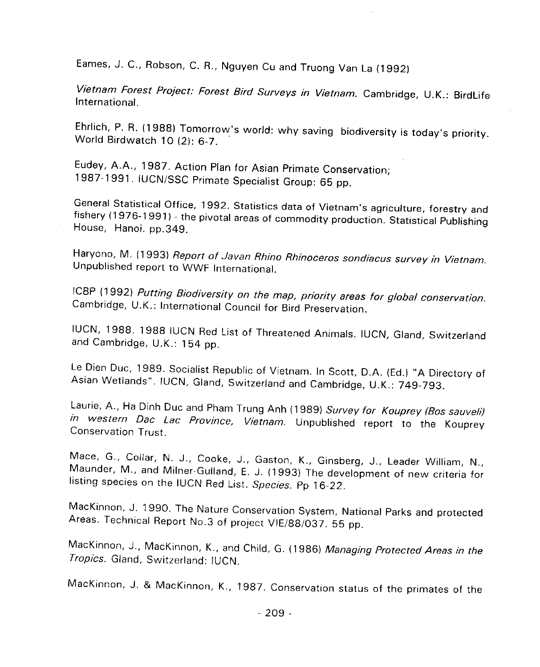Eames, J. C.**,** Robson**,** C. R.**,** Nguyen Cu and Truong Van La (1992)

**Vietnam Forest Project: Forest Bird Surveys in Vietnam**. Cambridge**,** U.K.: BirdLife International.

Ehrlich, P. R. (1988) Tomorrow's world: why saving biodiversity is today's priority. World Birdwatch 10 (2): 6-7.

Eudey, A.A., 1987. Action Plan for Asian Primate Conservation; 1987-1991. IUCN**/**SSC Primate Specialist Group: 65 pp.

General Statistical Office**,** 1992. Statistics data of Vietnam's agriculture**,** forestry and fishery (1976-1991) - the pivotal areas of commodity production. Statistical Publishing House**,** Hanoi. pp.349.

Haryono**,** M. (1993) **Report** o**f J**a**van Rhin**o **Rhinoceros s**o**ndiacus surv**ey **in Vietnam**. Unpublished report to WWF International.

ICBP (1992) **Putting Biodiversit**y **on the map, priori**ty **areas for global conservation**. Cambridge**,** U.K.: International Council for Bird Preservation.

\_UCN**,** 1988. 1988 IUCN Red List of Threatened Animals. IUCN**,** G\_and**,** Switzerland and Cambridge**,** U.K.: 154 pp.

Le Dien Duc**,** 1989. Socialist Republic of Vietnam. In Scott**,** D.A. (Ed.) "A Directory of Asian Wetlands". IUCN**, G**land**,** Switzerland and Cambridge**,** U.K.: 749-793.

Laurie**,** A., Ha Dinh Duc and Pham Trung Anh (1989) **Survey for Kouprey (Bos sauveli) in w**e**stern Dac Lac Province, Vietnam**. Unpublished report to the Kouprey Conservation Trust.

Mace**,** G.**,** Collar**,** N. J.**,** Cooke**,** J., Gaston, K., Ginsberg**,** J.**,** Leader William**,** N.**,** Maunder**,** M., and Milner-Gulland**,** E. J. (1993) The development of new criteria for listing species on the IUCN Red List. **Species**. Pp 16-22.

MacKinnon, J. 1990. The Nature Conservation System**,** National Parks and protected Areas. Technical Report No.3 of project VIE**/**88**/**037. 55 pp.

MacKinnon**,** J.**,** MacKir\_non, K.**,** arid Child**, G**. {1986/ **Ma**na**ging Protect**e**d Are**a**s in the Tropics**. Gland**,** Switzerland: IUCN.

MacKinnon**,** J. & MacKinnon**,** K., 1987. Conservation status of the primates of the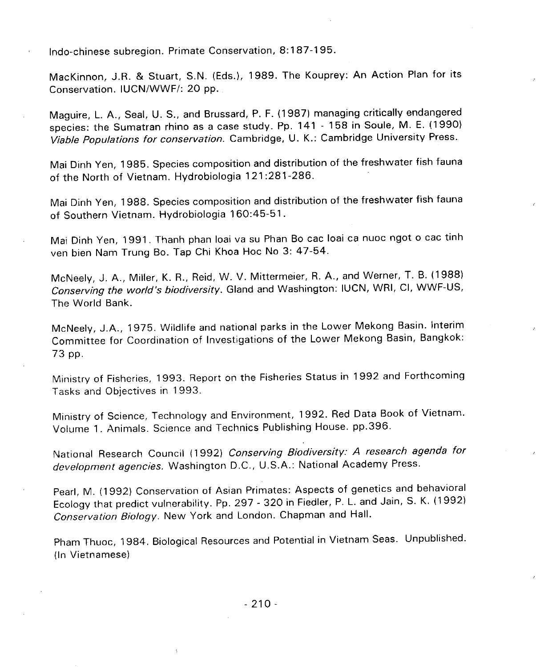Indo-chinese subregion. Primate Conservation**,** 8:187-195.

MacKinnon**,** J.R. & Stuart, S.N. (Eds.)**,** 1989. The Kouprey: An Action Plan for its Conservation. IUCN**/**WWF**/**: 20 pp.

Maguire, L. A.**,** Seal, U. S., and Brussard, P. F. (1987) managing critically endangered species: the Sumatran rhino as a case study. Pp. 141 - 158 in Soule, M. E. (1990) **Viable Populations for conservation**. Cambridge**,** U. K.: Cambridge University Press.

Mai Dinh Yen**,** 1985. Species composition and distribution of the freshwater fish fauna of the North of Vietnam. Hydrobiologia 121:281-286.

Mai Dinh Yen**,** 1988. Species composition and distribution of the freshwater fish fauna of Southern Vietnam. Hydrobiologia 160:45-51.

Mai Dinh Yen**,** 1991. Thanh phan Ioai va su Phan Bo cac Ioai ca nuoc ngot o cac tinh yen bien Nam Trung Bo. Tap Chi Khoa Hoc No 3: 47-54.

McNeely, J. A.**,** Miller, K. R., Reid, W. V. Mittermeier**,** R. A.**,** and Werner**,** T. B. (1988) **Conserving the world**'**s b**i**od**i**v**e**rsity**. Gl**an**d and Washington: IUCN**,** WRI, CI**,** WWF-US**,** The World Bank.

McNeely, J.A.**,** 1975. Wildlife and national parks in the Lower Mekong Basin. interim Committee for Coordination of Investigations of the Lower Mekong Basin**,** Bangkok: 73 pp.

Ministry of Fisheries**,** 1993. Report on the Fisheries Status in 1992 and Forthcoming Tasks and Objectives in 1993.

Ministry of Science**,** Technology and Environment**,** 1992. Red Data Book of Vietnam. Volume 1. Animals. Science and Technics Publishing House. pp.396.

National Research Coun**c**il (1992) **Conserving Biodive**r**sity**.' **A research agenda for development agencies**. Washington D.C.**,** U.S.A.: National Academy Press.

Pearl**,** M. (1992) Conservation of Asian Primates: Aspects of genetics and behavioral Ecology that predict vulnerability. Pp. 297 - 320 in Fiedler**,** P. L. and Jain**,** S. K. (1992) **Conservat**i**on B**i**olo**g**y**, New York and London. Chapman and Hall,

Pham Thuoc**,** 1984. Biological Resources and Potential in Vietnam Seas. Unpublished. (In Vietnamese)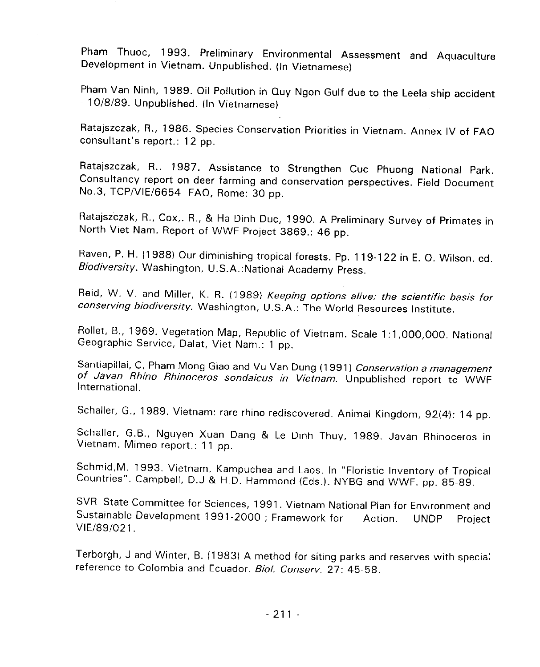Pham Thuoc, 1993. Preliminary Environmental Assessment and Aquaculture Development in Vietnam. Unpublished. (In Vietnamese)

Pham Thuoc**,** 1993. Preliminary Environmental Assessment and Aquaculture Development in Vietnam. Unpublished. (In Vietnamese)

Pham Van Ninh**,** 1989. Oil Pollution in Quy Ngon Gulf due to the Leela ship accident - 10**/**8**/**89. Unpublished. (In Vietnamese)

Ratajszczak**,** R.**,** 1986. Species Conservation Priorities in Vietnam. Annex IV of FAO consultant**'**s report.: 12 pp. No.3, TCP/VIE/6654 FAO, Rome: 30 pp.

Consultancy report on deer farming and conservation perspectives. Field Document No.3<sub>0</sub>2020K, TC<sub>P</sub> COA, TC<sub>P</sub> & TREDITIE DUC,

Ratajszczak**,** R., Cox**,**. R.**,** & H**a** Dinh Duc, 1990. A Preliminary Survey of Primates in North Viet North Viet Cool of Minimum Propical Intersts. Pp.

Raven, P. H. (1988) Our diminishing tropical forests. Pp. 119-122 in E, O. Wilson, ed. **Biodiversity. Washington, N. R. (1909) Reeping options all** 

Reid, W. V. and Miller, K. R. (1989) **Keeping options afive: the scientific basis for conservative Conservation**, Washington, Welful Resources Institute. Conservative Conservation Resources Institute.

Santiapillai, C, Pham Mong Giao and Vu Van Dung (1991) Conservation a management of Javan Rhino Rhinoceros sondaicus in Vietnam. Unpublished report to WWF International.

**of Javan Rhino Rhinoceros sondaicus in Vietnam**. Unpublished report to WWF  $\overline{\phantom{a}}$  ...  $\overline{\phantom{a}}$ 

Schaller, G.B., Nguyen Xuan Dang & Le Dinh Thuy, 1989. Javan Rhinoceros in Vietnam. Mimeo report.: 11 pp.

Schmid, M. 1993. Vietnam, Kampuchea and Laos. In "Floristic Inventory of Tropical Countries". Campbell, D.J & H.D. Hammond (Eds.). NYBG and WWF. pp. 85-89.

SVR State Committee for Sciences, 1991. Vietnam National Plan for Environment one Contribution of Secondary 1991, Victimit National Fight of Chvilometric Secondary. New Band West and West and W<br>Sustainable Development 1991-2000 - Francisco March 2001-2002 SVR State Committee for Sciences**,** 1991. Vietnam National Plan for Environment and

Sustainable Development 1991-2000; Framework for Action. UNDP Project VIE**/**89**/**021.